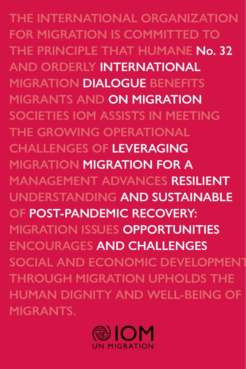**THE INTERNATIONAL ORGANIZATION FOR MIGRATION IS COMMITTED TO THE PRINCIPLE THAT HUMANE No. 32 AND ORDERLY INTERNATIONAL MIGRATION DIALOGUE BENEFITS MIGRANTS AND ON MIGRATION SOCIETIES IOM ASSISTS IN MEETING THE GROWING OPERATIONAL CHALLENGES OF LEVERAGING MIGRATION MIGRATION FOR A MANAGEMENT ADVANCES RESILIENT UNDERSTANDING AND SUSTAINABLE OF POST-PANDEMIC RECOVERY: MIGRATION ISSUES OPPORTUNITIES ENCOURAGES AND CHALLENGES SOCIAL AND ECONOMIC DEVELOPMENT THROUGH MIGRATION UPHOLDS THE HUMAN DIGNITY AND WELL-BEING OF MIGRANTS.**

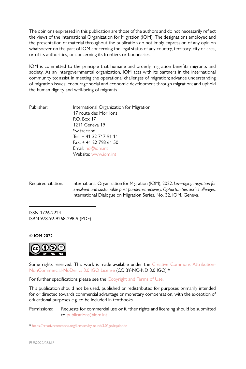The opinions expressed in this publication are those of the authors and do not necessarily reflect the views of the International Organization for Migration (IOM). The designations employed and the presentation of material throughout the publication do not imply expression of any opinion whatsoever on the part of IOM concerning the legal status of any country, territory, city or area, or of its authorities, or concerning its frontiers or boundaries.

IOM is committed to the principle that humane and orderly migration benefits migrants and society. As an intergovernmental organization, IOM acts with its partners in the international community to: assist in meeting the operational challenges of migration; advance understanding of migration issues; encourage social and economic development through migration; and uphold the human dignity and well-being of migrants.

| Publisher: | International Organization for Migration |
|------------|------------------------------------------|
|            | 17 route des Morillons                   |
|            | P.O. Box 17                              |
|            | 1211 Geneva 19                           |
|            | Switzerland                              |
|            | Tel.: + 41 22 717 91 11                  |
|            | Fax: +41 22 798 61 50                    |
|            | <b>Email:</b> $hq@iom.int$               |
|            | Website: www.jom.int                     |

Required citation: International Organization for Migration (IOM), 2022. *Leveraging migration for a resilient and sustainable post-pandemic recovery: Opportunities and challenges.* International Dialogue on Migration Series, No. 32. IOM, Geneva.

ISSN 1726-2224 ISBN 978-92-9268-298-9 (PDF)

**© IOM 2022**



Some rights reserved. This work is made available under the [Creative Commons Attribution-](https://creativecommons.org/licenses/by-nc-nd/3.0/igo/legalcode)[NonCommercial-NoDerivs 3.0 IGO License](https://creativecommons.org/licenses/by-nc-nd/3.0/igo/legalcode) (CC BY-NC-ND 3.0 IGO).\*

For further specifications please see the [Copyright and Terms of Use](https://publications.iom.int/terms-and-conditions).

This publication should not be used, published or redistributed for purposes primarily intended for or directed towards commercial advantage or monetary compensation, with the exception of educational purposes e.g. to be included in textbooks.

Permissions: Requests for commercial use or further rights and licensing should be submitted to [publications@iom.int](mailto:publications%40iom.int?subject=).

\*<https://creativecommons.org/licenses/by-nc-nd/3.0/igo/legalcode>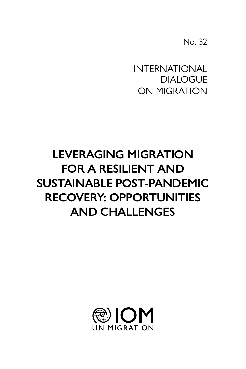No. 32

 DIALOGUE INTERNATIONAL ON MIGRATION

# **LEVERAGING MIGRATION FOR A RESILIENT AND SUSTAINABLE POST-PANDEMIC RECOVERY: OPPORTUNITIES AND CHALLENGES**

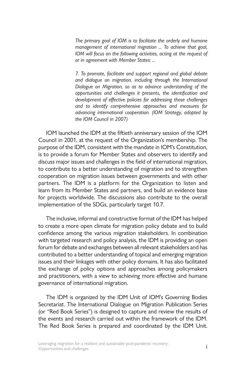*The primary goal of IOM is to facilitate the orderly and humane management of international migration ... To achieve that goal, IOM will focus on the following activities, acting at the request of or in agreement with Member States: ...*

*7. To promote, facilitate and support regional and global debate and dialogue on migration, including through the International Dialogue on Migration, so as to advance understanding of the opportunities and challenges it presents, the identification and development of effective policies for addressing those challenges and to identify comprehensive approaches and measures for advancing international cooperation. (IOM Strategy, adopted by the IOM Council in 2007)*

IOM launched the IDM at the fiftieth anniversary session of the IOM Council in 2001, at the request of the Organization's membership. The purpose of the IDM, consistent with the mandate in IOM's Constitution, is to provide a forum for Member States and observers to identify and discuss major issues and challenges in the field of international migration, to contribute to a better understanding of migration and to strengthen cooperation on migration issues between governments and with other partners. The IDM is a platform for the Organization to listen and learn from its Member States and partners, and build an evidence base for projects worldwide. The discussions also contribute to the overall implementation of the SDGs, particularly target 10.7.

The inclusive, informal and constructive format of the IDM has helped to create a more open climate for migration policy debate and to build confidence among the various migration stakeholders. In combination with targeted research and policy analysis, the IDM is providing an open forum for debate and exchanges between all relevant stakeholders and has contributed to a better understanding of topical and emerging migration issues and their linkages with other policy domains. It has also facilitated the exchange of policy options and approaches among policymakers and practitioners, with a view to achieving more effective and humane governance of international migration.

The IDM is organized by the IDM Unit of IOM's Governing Bodies Secretariat. The International Dialogue on Migration Publication Series (or "Red Book Series") is designed to capture and review the results of the events and research carried out within the framework of the IDM. The Red Book Series is prepared and coordinated by the IDM Unit.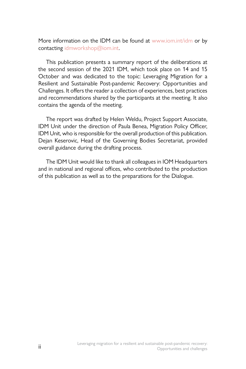More information on the IDM can be found at [www.iom.int/idm](http://www.iom.int/idm) or by contacting [idmworkshop@iom.int](mailto:idmworkshop%40iom.int?subject=).

This publication presents a summary report of the deliberations at the second session of the 2021 IDM, which took place on 14 and 15 October and was dedicated to the topic: Leveraging Migration for a Resilient and Sustainable Post-pandemic Recovery: Opportunities and Challenges. It offers the reader a collection of experiences, best practices and recommendations shared by the participants at the meeting. It also contains the agenda of the meeting.

The report was drafted by Helen Weldu, Project Support Associate, IDM Unit under the direction of Paula Benea, Migration Policy Officer, IDM Unit, who is responsible for the overall production of this publication. Dejan Keserovic, Head of the Governing Bodies Secretariat, provided overall guidance during the drafting process.

The IDM Unit would like to thank all colleagues in IOM Headquarters and in national and regional offices, who contributed to the production of this publication as well as to the preparations for the Dialogue.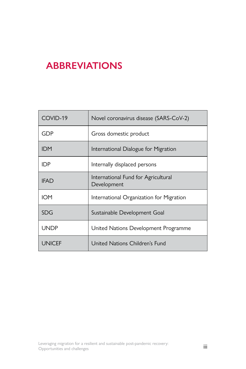## <span id="page-6-0"></span>**ABBREVIATIONS**

| COVID-19    | Novel coronavirus disease (SARS-CoV-2)             |
|-------------|----------------------------------------------------|
| GDP         | Gross domestic product                             |
| <b>IDM</b>  | International Dialogue for Migration               |
| IDP.        | Internally displaced persons                       |
| IFAD        | International Fund for Agricultural<br>Development |
| IOM         | International Organization for Migration           |
| <b>SDG</b>  | Sustainable Development Goal                       |
| <b>UNDP</b> | United Nations Development Programme               |
| UNICEF      | United Nations Children's Fund                     |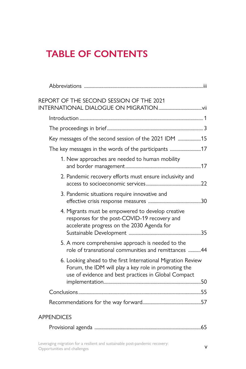# **TABLE OF CONTENTS**

| REPORT OF THE SECOND SESSION OF THE 2021                                                                                                                                     |  |
|------------------------------------------------------------------------------------------------------------------------------------------------------------------------------|--|
|                                                                                                                                                                              |  |
|                                                                                                                                                                              |  |
| Key messages of the second session of the 2021 IDM 15                                                                                                                        |  |
| The key messages in the words of the participants 17                                                                                                                         |  |
| 1. New approaches are needed to human mobility                                                                                                                               |  |
| 2. Pandemic recovery efforts must ensure inclusivity and                                                                                                                     |  |
| 3. Pandemic situations require innovative and                                                                                                                                |  |
| 4. Migrants must be empowered to develop creative<br>responses for the post-COVID-19 recovery and<br>accelerate progress on the 2030 Agenda for                              |  |
| 5. A more comprehensive approach is needed to the<br>role of transnational communities and remittances 44                                                                    |  |
| 6. Looking ahead to the first International Migration Review<br>Forum, the IDM will play a key role in promoting the<br>use of evidence and best practices in Global Compact |  |
|                                                                                                                                                                              |  |
|                                                                                                                                                                              |  |
| <b>APPENDICES</b>                                                                                                                                                            |  |
|                                                                                                                                                                              |  |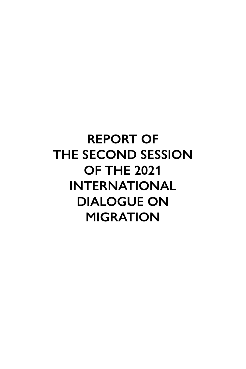# <span id="page-10-0"></span>**REPORT OF THE SECOND SESSION OF THE 2021 INTERNATIONAL DIALOGUE ON MIGRATION**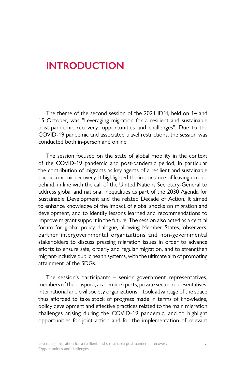## <span id="page-12-0"></span>**INTRODUCTION**

The theme of the second session of the 2021 IDM, held on 14 and 15 October, was "Leveraging migration for a resilient and sustainable post-pandemic recovery: opportunities and challenges". Due to the COVID-19 pandemic and associated travel restrictions, the session was conducted both in-person and online.

The session focused on the state of global mobility in the context of the COVID-19 pandemic and post-pandemic period, in particular the contribution of migrants as key agents of a resilient and sustainable socioeconomic recovery. It highlighted the importance of leaving no one behind, in line with the call of the United Nations Secretary-General to address global and national inequalities as part of the 2030 Agenda for Sustainable Development and the related Decade of Action. It aimed to enhance knowledge of the impact of global shocks on migration and development, and to identify lessons learned and recommendations to improve migrant support in the future. The session also acted as a central forum for global policy dialogue, allowing Member States, observers, partner intergovernmental organizations and non-governmental stakeholders to discuss pressing migration issues in order to advance efforts to ensure safe, orderly and regular migration, and to strengthen migrant-inclusive public health systems, with the ultimate aim of promoting attainment of the SDGs.

The session's participants – senior government representatives, members of the diaspora, academic experts, private sector representatives, international and civil society organizations – took advantage of the space thus afforded to take stock of progress made in terms of knowledge, policy development and effective practices related to the main migration challenges arising during the COVID-19 pandemic, and to highlight opportunities for joint action and for the implementation of relevant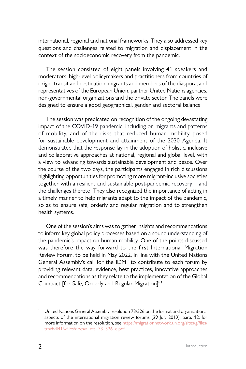international, regional and national frameworks. They also addressed key questions and challenges related to migration and displacement in the context of the socioeconomic recovery from the pandemic.

The session consisted of eight panels involving 41 speakers and moderators: high-level policymakers and practitioners from countries of origin, transit and destination; migrants and members of the diaspora; and representatives of the European Union, partner United Nations agencies, non-governmental organizations and the private sector. The panels were designed to ensure a good geographical, gender and sectoral balance.

The session was predicated on recognition of the ongoing devastating impact of the COVID-19 pandemic, including on migrants and patterns of mobility, and of the risks that reduced human mobility posed for sustainable development and attainment of the 2030 Agenda. It demonstrated that the response lay in the adoption of holistic, inclusive and collaborative approaches at national, regional and global level, with a view to advancing towards sustainable development and peace. Over the course of the two days, the participants engaged in rich discussions highlighting opportunities for promoting more migrant-inclusive societies together with a resilient and sustainable post-pandemic recovery – and the challenges thereto. They also recognized the importance of acting in a timely manner to help migrants adapt to the impact of the pandemic, so as to ensure safe, orderly and regular migration and to strengthen health systems.

One of the session's aims was to gather insights and recommendations to inform key global policy processes based on a sound understanding of the pandemic's impact on human mobility. One of the points discussed was therefore the way forward to the first International Migration Review Forum, to be held in May 2022, in line with the United Nations General Assembly's call for the IDM "to contribute to each forum by providing relevant data, evidence, best practices, innovative approaches and recommendations as they relate to the implementation of the Global Compact [for Safe, Orderly and Regular Migration]"1 .

<sup>&</sup>lt;sup>1</sup> United Nations General Assembly resolution 73/326 on the format and organizational aspects of the international migration review forums (29 July 2019), para. 12; for more information on the resolution, see [https://migrationnetwork.un.org/sites/g/files/](https://migrationnetwork.un.org/sites/g/files/tmzbdl416/files/docs/a_res_73_326_e.pdf) [tmzbdl416/files/docs/a\\_res\\_73\\_326\\_e.pdf.](https://migrationnetwork.un.org/sites/g/files/tmzbdl416/files/docs/a_res_73_326_e.pdf)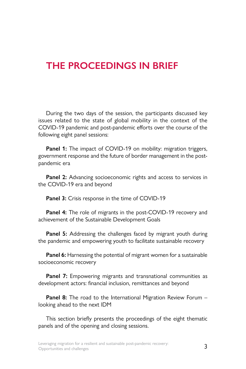## <span id="page-14-0"></span>**THE PROCEEDINGS IN BRIEF**

During the two days of the session, the participants discussed key issues related to the state of global mobility in the context of the COVID-19 pandemic and post-pandemic efforts over the course of the following eight panel sessions:

Panel 1: The impact of COVID-19 on mobility: migration triggers, government response and the future of border management in the postpandemic era

**Panel 2:** Advancing socioeconomic rights and access to services in the COVID-19 era and beyond

**Panel 3:** Crisis response in the time of COVID-19

**Panel 4:** The role of migrants in the post-COVID-19 recovery and achievement of the Sustainable Development Goals

**Panel 5:** Addressing the challenges faced by migrant youth during the pandemic and empowering youth to facilitate sustainable recovery

**Panel 6:** Harnessing the potential of migrant women for a sustainable socioeconomic recovery

**Panel 7:** Empowering migrants and transnational communities as development actors: financial inclusion, remittances and beyond

**Panel 8:** The road to the International Migration Review Forum – looking ahead to the next IDM

This section briefly presents the proceedings of the eight thematic panels and of the opening and closing sessions.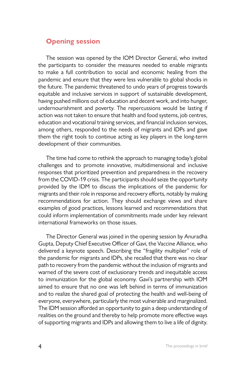#### **Opening session**

The session was opened by the IOM Director General, who invited the participants to consider the measures needed to enable migrants to make a full contribution to social and economic healing from the pandemic and ensure that they were less vulnerable to global shocks in the future. The pandemic threatened to undo years of progress towards equitable and inclusive services in support of sustainable development, having pushed millions out of education and decent work, and into hunger, undernourishment and poverty. The repercussions would be lasting if action was not taken to ensure that health and food systems, job centres, education and vocational training services, and financial inclusion services, among others, responded to the needs of migrants and IDPs and gave them the right tools to continue acting as key players in the long-term development of their communities.

The time had come to rethink the approach to managing today's global challenges and to promote innovative, multidimensional and inclusive responses that prioritized prevention and preparedness in the recovery from the COVID-19 crisis. The participants should seize the opportunity provided by the IDM to discuss the implications of the pandemic for migrants and their role in response and recovery efforts, notably by making recommendations for action. They should exchange views and share examples of good practices, lessons learned and recommendations that could inform implementation of commitments made under key relevant international frameworks on those issues.

The Director General was joined in the opening session by Anuradha Gupta, Deputy Chief Executive Officer of Gavi, the Vaccine Alliance, who delivered a keynote speech. Describing the "fragility multiplier" role of the pandemic for migrants and IDPs, she recalled that there was no clear path to recovery from the pandemic without the inclusion of migrants and warned of the severe cost of exclusionary trends and inequitable access to immunization for the global economy. Gavi's partnership with IOM aimed to ensure that no one was left behind in terms of immunization and to realize the shared goal of protecting the health and well-being of everyone, everywhere, particularly the most vulnerable and marginalized. The IDM session afforded an opportunity to gain a deep understanding of realities on the ground and thereby to help promote more effective ways of supporting migrants and IDPs and allowing them to live a life of dignity.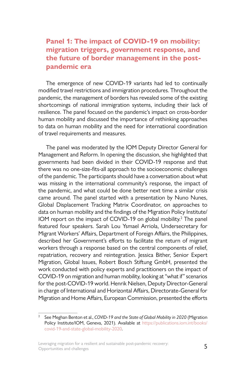#### **Panel 1: The impact of COVID-19 on mobility: migration triggers, government response, and the future of border management in the postpandemic era**

The emergence of new COVID-19 variants had led to continually modified travel restrictions and immigration procedures. Throughout the pandemic, the management of borders has revealed some of the existing shortcomings of national immigration systems, including their lack of resilience. The panel focused on the pandemic's impact on cross-border human mobility and discussed the importance of rethinking approaches to data on human mobility and the need for international coordination of travel requirements and measures.

The panel was moderated by the IOM Deputy Director General for Management and Reform. In opening the discussion, she highlighted that governments had been divided in their COVID-19 response and that there was no one-size-fits-all approach to the socioeconomic challenges of the pandemic. The participants should have a conversation about what was missing in the international community's response, the impact of the pandemic, and what could be done better next time a similar crisis came around. The panel started with a presentation by Nuno Nunes, Global Displacement Tracking Matrix Coordinator, on approaches to data on human mobility and the findings of the Migration Policy Institute/ IOM report on the impact of COVID-19 on global mobility.<sup>2</sup> The panel featured four speakers. Sarah Lou Ysmael Arriola, Undersecretary for Migrant Workers' Affairs, Department of Foreign Affairs, the Philippines, described her Government's efforts to facilitate the return of migrant workers through a response based on the central components of relief, repatriation, recovery and reintegration. Jessica Bither, Senior Expert Migration, Global Issues, Robert Bosch Stiftung GmbH, presented the work conducted with policy experts and practitioners on the impact of COVID-19 on migration and human mobility, looking at "what if" scenarios for the post-COVID-19 world. Henrik Nielsen, Deputy Director-General in charge of International and Horizontal Affairs, Directorate-General for Migration and Home Affairs, European Commission, presented the efforts

<sup>2</sup> See Meghan Benton et al., *COVID-19 and the State of Global Mobility in 2020* (Migration Policy Institute/IOM, Geneva, 2021). Available at [https://publications.iom.int/books/](https://publications.iom.int/books/covid-19-and-state-global-mobility-2020) [covid-19-and-state-global-mobility-2020.](https://publications.iom.int/books/covid-19-and-state-global-mobility-2020)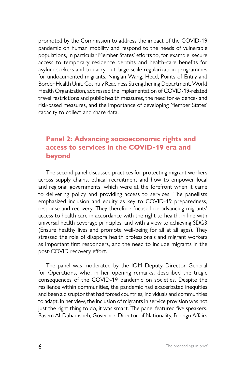promoted by the Commission to address the impact of the COVID-19 pandemic on human mobility and respond to the needs of vulnerable populations, in particular Member States' efforts to, for example, secure access to temporary residence permits and health-care benefits for asylum seekers and to carry out large-scale regularization programmes for undocumented migrants. Ninglan Wang, Head, Points of Entry and Border Health Unit, Country Readiness Strengthening Department, World Health Organization, addressed the implementation of COVID-19-related travel restrictions and public health measures, the need for evidence- and risk-based measures, and the importance of developing Member States' capacity to collect and share data.

#### **Panel 2: Advancing socioeconomic rights and access to services in the COVID-19 era and beyond**

The second panel discussed practices for protecting migrant workers across supply chains, ethical recruitment and how to empower local and regional governments, which were at the forefront when it came to delivering policy and providing access to services. The panellists emphasized inclusion and equity as key to COVID-19 preparedness, response and recovery. They therefore focused on advancing migrants' access to health care in accordance with the right to health, in line with universal health coverage principles, and with a view to achieving SDG3 (Ensure healthy lives and promote well-being for all at all ages). They stressed the role of diaspora health professionals and migrant workers as important first responders, and the need to include migrants in the post-COVID recovery effort.

The panel was moderated by the IOM Deputy Director General for Operations, who, in her opening remarks, described the tragic consequences of the COVID-19 pandemic on societies. Despite the resilience within communities, the pandemic had exacerbated inequities and been a disruptor that had forced countries, individuals and communities to adapt. In her view, the inclusion of migrants in service provision was not just the right thing to do, it was smart. The panel featured five speakers. Basem Al-Dahamsheh, Governor, Director of Nationality, Foreign Affairs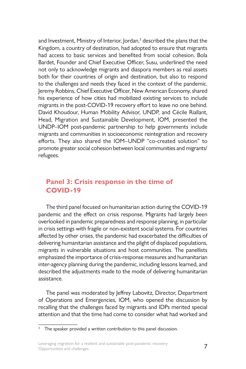and Investment, Ministry of Interior, Jordan,<sup>3</sup> described the plans that the Kingdom, a country of destination, had adopted to ensure that migrants had access to basic services and benefited from social cohesion. Bola Bardet, Founder and Chief Executive Officer, Susu, underlined the need not only to acknowledge migrants and diaspora members as real assets both for their countries of origin and destination, but also to respond to the challenges and needs they faced in the context of the pandemic. Jeremy Robbins, Chief Executive Officer, New American Economy, shared his experience of how cities had mobilized existing services to include migrants in the post-COVID-19 recovery effort to leave no one behind. David Khoudour, Human Mobility Advisor, UNDP, and Cécile Riallant, Head, Migration and Sustainable Development, IOM, presented the UNDP–IOM post-pandemic partnership to help governments include migrants and communities in socioeconomic reintegration and recovery efforts. They also shared the IOM–UNDP "co-created solution" to promote greater social cohesion between local communities and migrants/ refugees.

#### **Panel 3: Crisis response in the time of COVID-19**

The third panel focused on humanitarian action during the COVID-19 pandemic and the effect on crisis response. Migrants had largely been overlooked in pandemic preparedness and response planning, in particular in crisis settings with fragile or non-existent social systems. For countries affected by other crises, the pandemic had exacerbated the difficulties of delivering humanitarian assistance and the plight of displaced populations, migrants in vulnerable situations and host communities. The panellists emphasized the importance of crisis-response measures and humanitarian inter-agency planning during the pandemic, including lessons learned, and described the adjustments made to the mode of delivering humanitarian assistance.

The panel was moderated by Jeffrey Labovitz, Director, Department of Operations and Emergencies, IOM, who opened the discussion by recalling that the challenges faced by migrants and IDPs merited special attention and that the time had come to consider what had worked and

<sup>&</sup>lt;sup>3</sup> The speaker provided a written contribution to this panel discussion.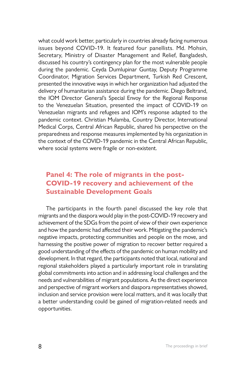what could work better, particularly in countries already facing numerous issues beyond COVID-19. It featured four panellists. Md. Mohsin, Secretary, Ministry of Disaster Management and Relief, Bangladesh, discussed his country's contingency plan for the most vulnerable people during the pandemic. Ceyda Dumlupinar Guntay, Deputy Programme Coordinator, Migration Services Department, Turkish Red Crescent, presented the innovative ways in which her organization had adjusted the delivery of humanitarian assistance during the pandemic. Diego Beltrand, the IOM Director General's Special Envoy for the Regional Response to the Venezuelan Situation, presented the impact of COVID-19 on Venezuelan migrants and refugees and IOM's response adapted to the pandemic context. Christian Mulamba, Country Director, International Medical Corps, Central African Republic, shared his perspective on the preparedness and response measures implemented by his organization in the context of the COVID-19 pandemic in the Central African Republic, where social systems were fragile or non-existent.

#### **Panel 4: The role of migrants in the post-COVID-19 recovery and achievement of the Sustainable Development Goals**

The participants in the fourth panel discussed the key role that migrants and the diaspora would play in the post-COVID-19 recovery and achievement of the SDGs from the point of view of their own experience and how the pandemic had affected their work. Mitigating the pandemic's negative impacts, protecting communities and people on the move, and harnessing the positive power of migration to recover better required a good understanding of the effects of the pandemic on human mobility and development. In that regard, the participants noted that local, national and regional stakeholders played a particularly important role in translating global commitments into action and in addressing local challenges and the needs and vulnerabilities of migrant populations. As the direct experience and perspective of migrant workers and diaspora representatives showed, inclusion and service provision were local matters, and it was locally that a better understanding could be gained of migration-related needs and opportunities.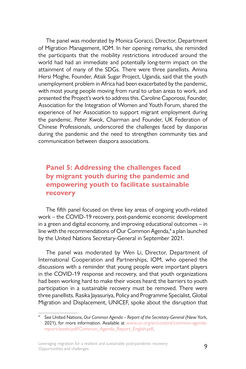The panel was moderated by Monica Goracci, Director, Department of Migration Management, IOM. In her opening remarks, she reminded the participants that the mobility restrictions introduced around the world had had an immediate and potentially long-term impact on the attainment of many of the SDGs. There were three panellists. Amina Hersi Moghe, Founder, Atiak Sugar Project, Uganda, said that the youth unemployment problem in Africa had been exacerbated by the pandemic, with most young people moving from rural to urban areas to work, and presented the Project's work to address this. Caroline Caporossi, Founder, Association for the Integration of Women and Youth Forum, shared the experience of her Association to support migrant employment during the pandemic. Peter Kwok, Chairman and Founder, UK Federation of Chinese Professionals, underscored the challenges faced by diasporas during the pandemic and the need to strengthen community ties and communication between diaspora associations.

#### **Panel 5: Addressing the challenges faced by migrant youth during the pandemic and empowering youth to facilitate sustainable recovery**

The fifth panel focused on three key areas of ongoing youth-related work – the COVID-19 recovery, post-pandemic economic development in a green and digital economy, and improving educational outcomes – in line with the recommendations of Our Common Agenda,<sup>4</sup> a plan launched by the United Nations Secretary-General in September 2021.

The panel was moderated by Wen Li, Director, Department of International Cooperation and Partnerships, IOM, who opened the discussions with a reminder that young people were important players in the COVID-19 response and recovery, and that youth organizations had been working hard to make their voices heard; the barriers to youth participation in a sustainable recovery must be removed. There were three panellists. Rasika Jayasuriya, Policy and Programme Specialist, Global Migration and Displacement, UNICEF, spoke about the disruption that

Leveraging migration for a resilient and sustainable post-pandemic recovery:<br>  $\overline{9}$ Opportunities and challenges

<sup>4</sup> See United Nations, *Our Common Agenda – Report of the Secretary-General* (New York, 2021), for more information. Available at [www.un.org/en/content/common-agenda](http://www.un.org/en/content/common-agenda-report/assets/pdf/Common_Agenda_Report_English.pdf)[report/assets/pdf/Common\\_Agenda\\_Report\\_English.pdf.](http://www.un.org/en/content/common-agenda-report/assets/pdf/Common_Agenda_Report_English.pdf)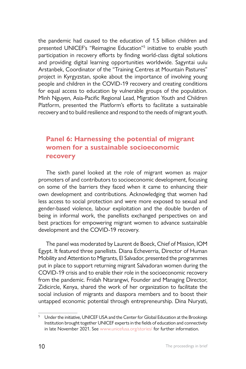the pandemic had caused to the education of 1.5 billion children and presented UNICEF's "Reimagine Education"<sup>5</sup> initiative to enable youth participation in recovery efforts by finding world-class digital solutions and providing digital learning opportunities worldwide. Sagyntai uulu Arstanbek, Coordinator of the "Training Centres at Mountain Pastures" project in Kyrgyzstan, spoke about the importance of involving young people and children in the COVID-19 recovery and creating conditions for equal access to education by vulnerable groups of the population. Minh Nguyen, Asia-Pacific Regional Lead, Migration Youth and Children Platform, presented the Platform's efforts to facilitate a sustainable recovery and to build resilience and respond to the needs of migrant youth.

#### **Panel 6: Harnessing the potential of migrant women for a sustainable socioeconomic recovery**

The sixth panel looked at the role of migrant women as major promoters of and contributors to socioeconomic development, focusing on some of the barriers they faced when it came to enhancing their own development and contributions. Acknowledging that women had less access to social protection and were more exposed to sexual and gender-based violence, labour exploitation and the double burden of being in informal work, the panellists exchanged perspectives on and best practices for empowering migrant women to advance sustainable development and the COVID-19 recovery.

The panel was moderated by Laurent de Boeck, Chief of Mission, IOM Egypt. It featured three panellists. Diana Echeverria, Director of Human Mobility and Attention to Migrants, El Salvador, presented the programmes put in place to support returning migrant Salvadoran women during the COVID-19 crisis and to enable their role in the socioeconomic recovery from the pandemic. Fridah Ntarangwi, Founder and Managing Director, Zidicircle, Kenya, shared the work of her organization to facilitate the social inclusion of migrants and diaspora members and to boost their untapped economic potential through entrepreneurship. Dina Nuryati,

<sup>&</sup>lt;sup>5</sup> Under the initiative, UNICEF USA and the Center for Global Education at the Brookings Institution brought together UNICEF experts in the fields of education and connectivity in late November 2021. See [www.unicefusa.org/stories/](http://www.unicefusa.org/stories/) for further information.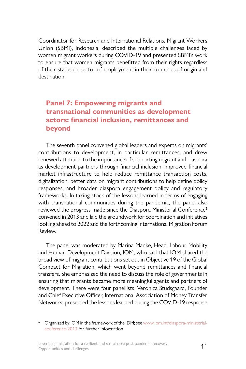Coordinator for Research and International Relations, Migrant Workers Union (SBMI), Indonesia, described the multiple challenges faced by women migrant workers during COVID-19 and presented SBMI's work to ensure that women migrants benefitted from their rights regardless of their status or sector of employment in their countries of origin and destination.

#### **Panel 7: Empowering migrants and transnational communities as development actors: financial inclusion, remittances and beyond**

The seventh panel convened global leaders and experts on migrants' contributions to development, in particular remittances, and drew renewed attention to the importance of supporting migrant and diaspora as development partners through financial inclusion, improved financial market infrastructure to help reduce remittance transaction costs, digitalization, better data on migrant contributions to help define policy responses, and broader diaspora engagement policy and regulatory frameworks. In taking stock of the lessons learned in terms of engaging with transnational communities during the pandemic, the panel also reviewed the progress made since the Diaspora Ministerial Conference<sup>6</sup> convened in 2013 and laid the groundwork for coordination and initiatives looking ahead to 2022 and the forthcoming International Migration Forum Review.

The panel was moderated by Marina Manke, Head, Labour Mobility and Human Development Division, IOM, who said that IOM shared the broad view of migrant contributions set out in Objective 19 of the Global Compact for Migration, which went beyond remittances and financial transfers. She emphasized the need to discuss the role of governments in ensuring that migrants became more meaningful agents and partners of development. There were four panellists. Veronica Studsgaard, Founder and Chief Executive Officer, International Association of Money Transfer Networks, presented the lessons learned during the COVID-19 response

Organized by IOM in the framework of the IDM; see [www.iom.int/diaspora-ministerial](http://www.iom.int/diaspora-ministerial-conference-2013)[conference-2013](http://www.iom.int/diaspora-ministerial-conference-2013) for further information.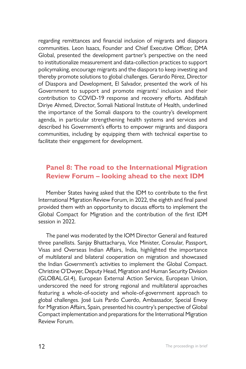regarding remittances and financial inclusion of migrants and diaspora communities. Leon Isaacs, Founder and Chief Executive Officer, DMA Global, presented the development partner's perspective on the need to institutionalize measurement and data-collection practices to support policymaking, encourage migrants and the diaspora to keep investing and thereby promote solutions to global challenges. Gerardo Pérez, Director of Diaspora and Development, El Salvador, presented the work of his Government to support and promote migrants' inclusion and their contribution to COVID-19 response and recovery efforts. Abdifatah Diriye Ahmed, Director, Somali National Institute of Health, underlined the importance of the Somali diaspora to the country's development agenda, in particular strengthening health systems and services and described his Government's efforts to empower migrants and diaspora communities, including by equipping them with technical expertise to facilitate their engagement for development.

#### **Panel 8: The road to the International Migration Review Forum – looking ahead to the next IDM**

Member States having asked that the IDM to contribute to the first International Migration Review Forum, in 2022, the eighth and final panel provided them with an opportunity to discuss efforts to implement the Global Compact for Migration and the contribution of the first IDM session in 2022.

The panel was moderated by the IOM Director General and featured three panellists. Sanjay Bhattacharya, Vice Minister, Consular, Passport, Visas and Overseas Indian Affairs, India, highlighted the importance of multilateral and bilateral cooperation on migration and showcased the Indian Government's activities to implement the Global Compact. Christine O'Dwyer, Deputy Head, Migration and Human Security Division (GLOBAL.GI.4), European External Action Service, European Union, underscored the need for strong regional and multilateral approaches featuring a whole-of-society and whole-of-government approach to global challenges. José Luis Pardo Cuerdo, Ambassador, Special Envoy for Migration Affairs, Spain, presented his country's perspective of Global Compact implementation and preparations for the International Migration Review Forum.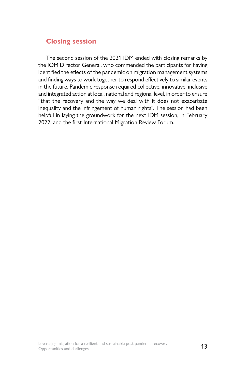#### **Closing session**

The second session of the 2021 IDM ended with closing remarks by the IOM Director General, who commended the participants for having identified the effects of the pandemic on migration management systems and finding ways to work together to respond effectively to similar events in the future. Pandemic response required collective, innovative, inclusive and integrated action at local, national and regional level, in order to ensure "that the recovery and the way we deal with it does not exacerbate inequality and the infringement of human rights". The session had been helpful in laying the groundwork for the next IDM session, in February 2022, and the first International Migration Review Forum.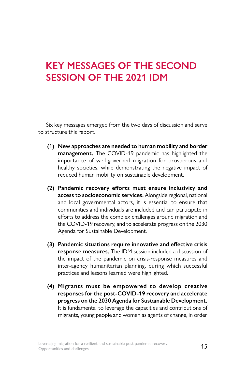# <span id="page-26-0"></span>**KEY MESSAGES OF THE SECOND SESSION OF THE 2021 IDM**

Six key messages emerged from the two days of discussion and serve to structure this report.

- **(1) New approaches are needed to human mobility and border management.** The COVID-19 pandemic has highlighted the importance of well-governed migration for prosperous and healthy societies, while demonstrating the negative impact of reduced human mobility on sustainable development.
- **(2) Pandemic recovery efforts must ensure inclusivity and access to socioeconomic services.** Alongside regional, national and local governmental actors, it is essential to ensure that communities and individuals are included and can participate in efforts to address the complex challenges around migration and the COVID-19 recovery, and to accelerate progress on the 2030 Agenda for Sustainable Development.
- **(3) Pandemic situations require innovative and effective crisis response measures.** The IDM session included a discussion of the impact of the pandemic on crisis-response measures and inter-agency humanitarian planning, during which successful practices and lessons learned were highlighted.
- **(4) Migrants must be empowered to develop creative responses for the post-COVID-19 recovery and accelerate progress on the 2030 Agenda for Sustainable Development.**  It is fundamental to leverage the capacities and contributions of migrants, young people and women as agents of change, in order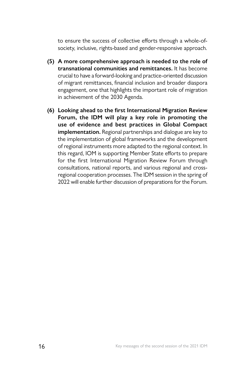to ensure the success of collective efforts through a whole-ofsociety, inclusive, rights-based and gender-responsive approach.

- **(5) A more comprehensive approach is needed to the role of transnational communities and remittances.** It has become crucial to have a forward-looking and practice-oriented discussion of migrant remittances, financial inclusion and broader diaspora engagement, one that highlights the important role of migration in achievement of the 2030 Agenda.
- **(6) Looking ahead to the first International Migration Review Forum, the IDM will play a key role in promoting the use of evidence and best practices in Global Compact implementation.** Regional partnerships and dialogue are key to the implementation of global frameworks and the development of regional instruments more adapted to the regional context. In this regard, IOM is supporting Member State efforts to prepare for the first International Migration Review Forum through consultations, national reports, and various regional and crossregional cooperation processes. The IDM session in the spring of 2022 will enable further discussion of preparations for the Forum.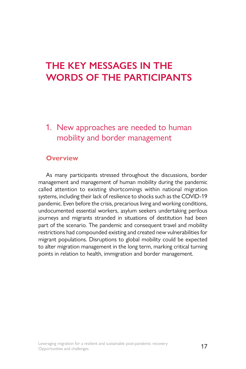# <span id="page-28-0"></span>**THE KEY MESSAGES IN THE WORDS OF THE PARTICIPANTS**

### 1. New approaches are needed to human mobility and border management

#### **Overview**

As many participants stressed throughout the discussions, border management and management of human mobility during the pandemic called attention to existing shortcomings within national migration systems, including their lack of resilience to shocks such as the COVID-19 pandemic. Even before the crisis, precarious living and working conditions, undocumented essential workers, asylum seekers undertaking perilous journeys and migrants stranded in situations of destitution had been part of the scenario. The pandemic and consequent travel and mobility restrictions had compounded existing and created new vulnerabilities for migrant populations. Disruptions to global mobility could be expected to alter migration management in the long term, marking critical turning points in relation to health, immigration and border management.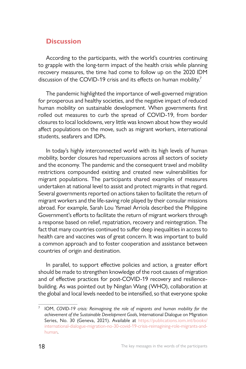#### **Discussion**

According to the participants, with the world's countries continuing to grapple with the long-term impact of the health crisis while planning recovery measures, the time had come to follow up on the 2020 IDM discussion of the COVID-19 crisis and its effects on human mobility.<sup>7</sup>

The pandemic highlighted the importance of well-governed migration for prosperous and healthy societies, and the negative impact of reduced human mobility on sustainable development. When governments first rolled out measures to curb the spread of COVID-19, from border closures to local lockdowns, very little was known about how they would affect populations on the move, such as migrant workers, international students, seafarers and IDPs.

In today's highly interconnected world with its high levels of human mobility, border closures had repercussions across all sectors of society and the economy. The pandemic and the consequent travel and mobility restrictions compounded existing and created new vulnerabilities for migrant populations. The participants shared examples of measures undertaken at national level to assist and protect migrants in that regard. Several governments reported on actions taken to facilitate the return of migrant workers and the life-saving role played by their consular missions abroad. For example, Sarah Lou Ysmael Arriola described the Philippine Government's efforts to facilitate the return of migrant workers through a response based on relief, repatriation, recovery and reintegration. The fact that many countries continued to suffer deep inequalities in access to health care and vaccines was of great concern. It was important to build a common approach and to foster cooperation and assistance between countries of origin and destination.

In parallel, to support effective policies and action, a greater effort should be made to strengthen knowledge of the root causes of migration and of effective practices for post-COVID-19 recovery and resiliencebuilding. As was pointed out by Ninglan Wang (WHO), collaboration at the global and local levels needed to be intensified, so that everyone spoke

<sup>7</sup> IOM, *COVID-19 crisis: Reimagining the role of migrants and human mobility for the achievement of the Sustainable Development Goals*, International Dialogue on Migration Series, No. 30 (Geneva, 2021). Available at [https://publications.iom.int/books/](https://publications.iom.int/books/international-dialogue-migration-no-30-covid-19-crisis-reimagining-role-migrants-and-human) [international-dialogue-migration-no-30-covid-19-crisis-reimagining-role-migrants-and](https://publications.iom.int/books/international-dialogue-migration-no-30-covid-19-crisis-reimagining-role-migrants-and-human)[human](https://publications.iom.int/books/international-dialogue-migration-no-30-covid-19-crisis-reimagining-role-migrants-and-human).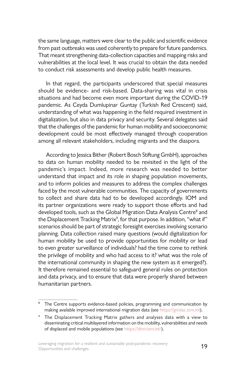the same language, matters were clear to the public and scientific evidence from past outbreaks was used coherently to prepare for future pandemics. That meant strengthening data-collection capacities and mapping risks and vulnerabilities at the local level. It was crucial to obtain the data needed to conduct risk assessments and develop public health measures.

In that regard, the participants underscored that special measures should be evidence- and risk-based. Data-sharing was vital in crisis situations and had become even more important during the COVID-19 pandemic. As Ceyda Dumlupinar Guntay (Turkish Red Crescent) said, understanding of what was happening in the field required investment in digitalization, but also in data privacy and security. Several delegates said that the challenges of the pandemic for human mobility and socioeconomic development could be most effectively managed through cooperation among all relevant stakeholders, including migrants and the diaspora.

According to Jessica Bither (Robert Bosch Stiftung GmbH), approaches to data on human mobility needed to be revisited in the light of the pandemic's impact. Indeed, more research was needed to better understand that impact and its role in shaping population movements, and to inform policies and measures to address the complex challenges faced by the most vulnerable communities. The capacity of governments to collect and share data had to be developed accordingly. IOM and its partner organizations were ready to support those efforts and had developed tools, such as the Global Migration Data Analysis Centre<sup>8</sup> and the Displacement Tracking Matrix<sup>9</sup>, for that purpose. In addition, "what if" scenarios should be part of strategic foresight exercises involving scenario planning. Data collection raised many questions (would digitalization for human mobility be used to provide opportunities for mobility or lead to even greater surveillance of individuals? had the time come to rethink the privilege of mobility and who had access to it? what was the role of the international community in shaping the new system as it emerged?). It therefore remained essential to safeguard general rules on protection and data privacy, and to ensure that data were properly shared between humanitarian partners.

<sup>&</sup>lt;sup>8</sup> The Centre supports evidence-based policies, programming and communication by making available improved international migration data (see<https://gmdac.iom.int>).

<sup>9</sup> The Displacement Tracking Matrix gathers and analyses data with a view to disseminating critical multilayered information on the mobility, vulnerabilities and needs of displaced and mobile populations (see [https://dtm.iom.int/\)](https://dtm.iom.int/).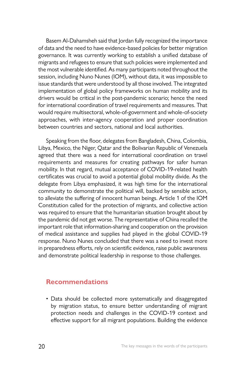Basem Al-Dahamsheh said that Jordan fully recognized the importance of data and the need to have evidence-based policies for better migration governance. It was currently working to establish a unified database of migrants and refugees to ensure that such policies were implemented and the most vulnerable identified. As many participants noted throughout the session, including Nuno Nunes (IOM), without data, it was impossible to issue standards that were understood by all those involved. The integrated implementation of global policy frameworks on human mobility and its drivers would be critical in the post-pandemic scenario; hence the need for international coordination of travel requirements and measures. That would require multisectoral, whole-of-government and whole-of-society approaches, with inter-agency cooperation and proper coordination between countries and sectors, national and local authorities.

Speaking from the floor, delegates from Bangladesh, China, Colombia, Libya, Mexico, the Niger, Qatar and the Bolivarian Republic of Venezuela agreed that there was a need for international coordination on travel requirements and measures for creating pathways for safer human mobility. In that regard, mutual acceptance of COVID-19-related health certificates was crucial to avoid a potential global mobility divide. As the delegate from Libya emphasized, it was high time for the international community to demonstrate the political will, backed by sensible action, to alleviate the suffering of innocent human beings. Article 1 of the IOM Constitution called for the protection of migrants, and collective action was required to ensure that the humanitarian situation brought about by the pandemic did not get worse. The representative of China recalled the important role that information-sharing and cooperation on the provision of medical assistance and supplies had played in the global COVID-19 response. Nuno Nunes concluded that there was a need to invest more in preparedness efforts, rely on scientific evidence, raise public awareness and demonstrate political leadership in response to those challenges.

#### **Recommendations**

• Data should be collected more systematically and disaggregated by migration status, to ensure better understanding of migrant protection needs and challenges in the COVID-19 context and effective support for all migrant populations. Building the evidence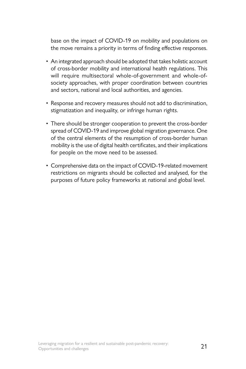base on the impact of COVID-19 on mobility and populations on the move remains a priority in terms of finding effective responses.

- An integrated approach should be adopted that takes holistic account of cross-border mobility and international health regulations. This will require multisectoral whole-of-government and whole-ofsociety approaches, with proper coordination between countries and sectors, national and local authorities, and agencies.
- Response and recovery measures should not add to discrimination, stigmatization and inequality, or infringe human rights.
- There should be stronger cooperation to prevent the cross-border spread of COVID-19 and improve global migration governance. One of the central elements of the resumption of cross-border human mobility is the use of digital health certificates, and their implications for people on the move need to be assessed.
- Comprehensive data on the impact of COVID-19-related movement restrictions on migrants should be collected and analysed, for the purposes of future policy frameworks at national and global level.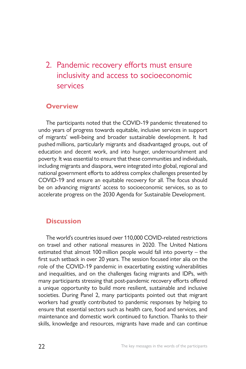### <span id="page-33-0"></span>2. Pandemic recovery efforts must ensure inclusivity and access to socioeconomic services

#### **Overview**

The participants noted that the COVID-19 pandemic threatened to undo years of progress towards equitable, inclusive services in support of migrants' well-being and broader sustainable development. It had pushed millions, particularly migrants and disadvantaged groups, out of education and decent work, and into hunger, undernourishment and poverty. It was essential to ensure that these communities and individuals, including migrants and diaspora, were integrated into global, regional and national government efforts to address complex challenges presented by COVID-19 and ensure an equitable recovery for all. The focus should be on advancing migrants' access to socioeconomic services, so as to accelerate progress on the 2030 Agenda for Sustainable Development.

#### **Discussion**

The world's countries issued over 110,000 COVID-related restrictions on travel and other national measures in 2020. The United Nations estimated that almost 100 million people would fall into poverty – the first such setback in over 20 years. The session focused inter alia on the role of the COVID-19 pandemic in exacerbating existing vulnerabilities and inequalities, and on the challenges facing migrants and IDPs, with many participants stressing that post-pandemic recovery efforts offered a unique opportunity to build more resilient, sustainable and inclusive societies. During Panel 2, many participants pointed out that migrant workers had greatly contributed to pandemic responses by helping to ensure that essential sectors such as health care, food and services, and maintenance and domestic work continued to function. Thanks to their skills, knowledge and resources, migrants have made and can continue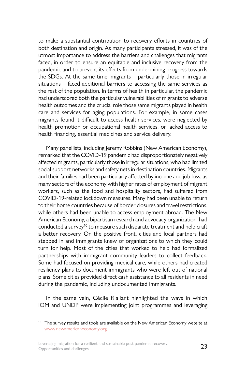to make a substantial contribution to recovery efforts in countries of both destination and origin. As many participants stressed, it was of the utmost importance to address the barriers and challenges that migrants faced, in order to ensure an equitable and inclusive recovery from the pandemic and to prevent its effects from undermining progress towards the SDGs. At the same time, migrants – particularly those in irregular situations – faced additional barriers to accessing the same services as the rest of the population. In terms of health in particular, the pandemic had underscored both the particular vulnerabilities of migrants to adverse health outcomes and the crucial role those same migrants played in health care and services for aging populations. For example, in some cases migrants found it difficult to access health services, were neglected by health promotion or occupational health services, or lacked access to health financing, essential medicines and service delivery.

Many panellists, including Jeremy Robbins (New American Economy), remarked that the COVID-19 pandemic had disproportionately negatively affected migrants, particularly those in irregular situations, who had limited social support networks and safety nets in destination countries. Migrants and their families had been particularly affected by income and job loss, as many sectors of the economy with higher rates of employment of migrant workers, such as the food and hospitality sectors, had suffered from COVID-19-related lockdown measures. Many had been unable to return to their home countries because of border closures and travel restrictions, while others had been unable to access employment abroad. The New American Economy, a bipartisan research and advocacy organization, had conducted a survey<sup>10</sup> to measure such disparate treatment and help craft a better recovery. On the positive front, cities and local partners had stepped in and immigrants knew of organizations to which they could turn for help. Most of the cities that worked to help had formalized partnerships with immigrant community leaders to collect feedback. Some had focused on providing medical care, while others had created resiliency plans to document immigrants who were left out of national plans. Some cities provided direct cash assistance to all residents in need during the pandemic, including undocumented immigrants.

In the same vein, Cécile Riallant highlighted the ways in which IOM and UNDP were implementing joint programmes and leveraging

<sup>&</sup>lt;sup>10</sup> The survey results and tools are available on the New American Economy website at [www.newamericaneconomy.org](http://www.newamericaneconomy.org).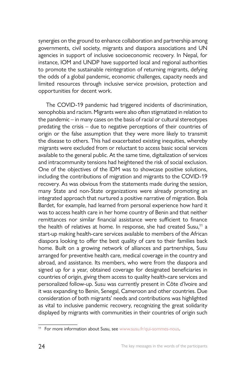synergies on the ground to enhance collaboration and partnership among governments, civil society, migrants and diaspora associations and UN agencies in support of inclusive socioeconomic recovery. In Nepal, for instance, IOM and UNDP have supported local and regional authorities to promote the sustainable reintegration of returning migrants, defying the odds of a global pandemic, economic challenges, capacity needs and limited resources through inclusive service provision, protection and opportunities for decent work.

The COVID-19 pandemic had triggered incidents of discrimination, xenophobia and racism. Migrants were also often stigmatized in relation to the pandemic – in many cases on the basis of racial or cultural stereotypes predating the crisis – due to negative perceptions of their countries of origin or the false assumption that they were more likely to transmit the disease to others. This had exacerbated existing inequities, whereby migrants were excluded from or reluctant to access basic social services available to the general public. At the same time, digitalization of services and intracommunity tensions had heightened the risk of social exclusion. One of the objectives of the IDM was to showcase positive solutions, including the contributions of migration and migrants to the COVID-19 recovery. As was obvious from the statements made during the session, many State and non-State organizations were already promoting an integrated approach that nurtured a positive narrative of migration. Bola Bardet, for example, had learned from personal experience how hard it was to access health care in her home country of Benin and that neither remittances nor similar financial assistance were sufficient to finance the health of relatives at home. In response, she had created Susu,<sup>11</sup> a start-up making health-care services available to members of the African diaspora looking to offer the best quality of care to their families back home. Built on a growing network of alliances and partnerships, Susu arranged for preventive health care, medical coverage in the country and abroad, and assistance. Its members, who were from the diaspora and signed up for a year, obtained coverage for designated beneficiaries in countries of origin, giving them access to quality health-care services and personalized follow-up. Susu was currently present in Côte d'Ivoire and it was expanding to Benin, Senegal, Cameroon and other countries. Due consideration of both migrants' needs and contributions was highlighted as vital to inclusive pandemic recovery, recognizing the great solidarity displayed by migrants with communities in their countries of origin such

<sup>&</sup>lt;sup>11</sup> For more information about Susu, see [www.susu.fr/qui-sommes-nous.](https://www.susu.fr/qui-sommes-nous)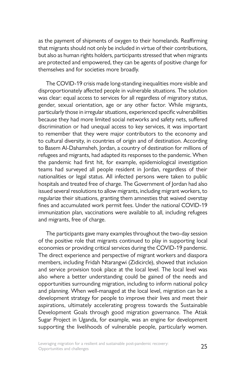as the payment of shipments of oxygen to their homelands. Reaffirming that migrants should not only be included in virtue of their contributions, but also as human rights holders, participants stressed that when migrants are protected and empowered, they can be agents of positive change for themselves and for societies more broadly.

The COVID-19 crisis made long-standing inequalities more visible and disproportionately affected people in vulnerable situations. The solution was clear: equal access to services for all regardless of migratory status, gender, sexual orientation, age or any other factor. While migrants, particularly those in irregular situations, experienced specific vulnerabilities because they had more limited social networks and safety nets, suffered discrimination or had unequal access to key services, it was important to remember that they were major contributors to the economy and to cultural diversity, in countries of origin and of destination. According to Basem Al-Dahamsheh, Jordan, a country of destination for millions of refugees and migrants, had adapted its responses to the pandemic. When the pandemic had first hit, for example, epidemiological investigation teams had surveyed all people resident in Jordan, regardless of their nationalities or legal status. All infected persons were taken to public hospitals and treated free of charge. The Government of Jordan had also issued several resolutions to allow migrants, including migrant workers, to regularize their situations, granting them amnesties that waived overstay fines and accumulated work permit fees. Under the national COVID-19 immunization plan, vaccinations were available to all, including refugees and migrants, free of charge.

The participants gave many examples throughout the two-day session of the positive role that migrants continued to play in supporting local economies or providing critical services during the COVID-19 pandemic. The direct experience and perspective of migrant workers and diaspora members, including Fridah Ntarangwi (Zidicircle), showed that inclusion and service provision took place at the local level. The local level was also where a better understanding could be gained of the needs and opportunities surrounding migration, including to inform national policy and planning. When well-managed at the local level, migration can be a development strategy for people to improve their lives and meet their aspirations, ultimately accelerating progress towards the Sustainable Development Goals through good migration governance. The Atiak Sugar Project in Uganda, for example, was an engine for development supporting the livelihoods of vulnerable people, particularly women.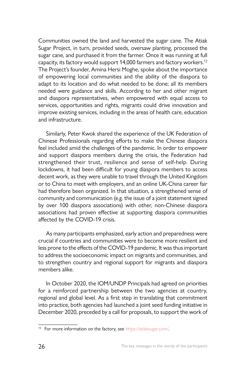Communities owned the land and harvested the sugar cane. The Atiak Sugar Project, in turn, provided seeds, oversaw planting, processed the sugar cane, and purchased it from the farmer. Once it was running at full capacity, its factory would support 14,000 farmers and factory workers.<sup>12</sup> The Project's founder, Amina Hersi Moghe, spoke about the importance of empowering local communities and the ability of the diaspora to adapt to its location and do what needed to be done; all its members needed were guidance and skills. According to her and other migrant and diaspora representatives, when empowered with equal access to services, opportunities and rights, migrants could drive innovation and improve existing services, including in the areas of health care, education and infrastructure.

Similarly, Peter Kwok shared the experience of the UK Federation of Chinese Professionals regarding efforts to make the Chinese diaspora feel included amid the challenges of the pandemic. In order to empower and support diaspora members during the crisis, the Federation had strengthened their trust, resilience and sense of self-help. During lockdowns, it had been difficult for young diaspora members to access decent work, as they were unable to travel through the United Kingdom or to China to meet with employers, and an online UK-China career fair had therefore been organized. In that situation, a strengthened sense of community and communication (e.g. the issue of a joint statement signed by over 100 diaspora associations) with other, non-Chinese diaspora associations had proven effective at supporting diaspora communities affected by the COVID-19 crisis.

As many participants emphasized, early action and preparedness were crucial if countries and communities were to become more resilient and less prone to the effects of the COVID-19 pandemic. It was thus important to address the socioeconomic impact on migrants and communities, and to strengthen country and regional support for migrants and diaspora members alike.

In October 2020, the IOM/UNDP Principals had agreed on priorities for a reinforced partnership between the two agencies at country, regional and global level. As a first step in translating that commitment into practice, both agencies had launched a joint seed funding initiative in December 2020, preceded by a call for proposals, to support the work of

<sup>12</sup> For more information on the factory, see <https://atiaksugar.com/>.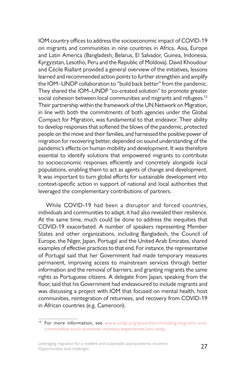IOM country offices to address the socioeconomic impact of COVID-19 on migrants and communities in nine countries in Africa, Asia, Europe and Latin America (Bangladesh, Belarus, El Salvador, Guinea, Indonesia, Kyrgyzstan, Lesotho, Peru and the Republic of Moldova). David Khoudour and Cécile Riallant provided a general overview of the initiatives, lessons learned and recommended action points to further strengthen and amplify the IOM–UNDP collaboration to "build back better" from the pandemic. They shared the IOM–UNDP "co-created solution" to promote greater social cohesion between local communities and migrants and refugees.<sup>13</sup> Their partnership within the framework of the UN Network on Migration, in line with both the commitments of both agencies under the Global Compact for Migration, was fundamental to that endeavor. Their ability to develop responses that softened the blows of the pandemic, protected people on the move and their families, and harnessed the positive power of migration for recovering better, depended on sound understanding of the pandemic's effects on human mobility and development. It was therefore essential to identify solutions that empowered migrants to contribute to socioeconomic responses efficiently and concretely alongside local populations, enabling them to act as agents of change and development. It was important to turn global efforts for sustainable development into context-specific action in support of national and local authorities that leveraged the complementary contributions of partners.

While COVID-19 had been a disruptor and forced countries, individuals and communities to adapt, it had also revealed their resilience. At the same time, much could be done to address the inequities that COVID-19 exacerbated. A number of speakers representing Member States and other organizations, including Bangladesh, the Council of Europe, the Niger, Japan, Portugal and the United Arab Emirates, shared examples of effective practices to that end. For instance, the representative of Portugal said that her Government had made temporary measures permanent, improving access to mainstream services through better information and the removal of barriers, and granting migrants the same rights as Portuguese citizens. A delegate from Japan, speaking from the floor, said that his Government had endeavoured to include migrants and was discussing a project with IOM that focused on mental health, host communities, reintegration of returnees, and recovery from COVID-19 in African countries (e.g. Cameroon).

<sup>&</sup>lt;sup>13</sup> For more information, see [www.undp.org/speeches/including-migrants-and](http://www.undp.org/speeches/including-migrants-and-communities-socio-economic-recovery-experiences-iom-undp)[communities-socio-economic-recovery-experiences-iom-undp.](http://www.undp.org/speeches/including-migrants-and-communities-socio-economic-recovery-experiences-iom-undp)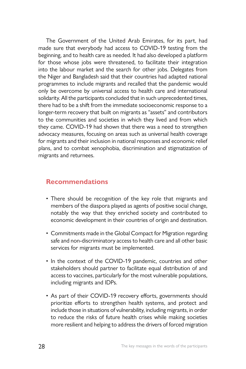The Government of the United Arab Emirates, for its part, had made sure that everybody had access to COVID-19 testing from the beginning, and to health care as needed. It had also developed a platform for those whose jobs were threatened, to facilitate their integration into the labour market and the search for other jobs. Delegates from the Niger and Bangladesh said that their countries had adapted national programmes to include migrants and recalled that the pandemic would only be overcome by universal access to health care and international solidarity. All the participants concluded that in such unprecedented times, there had to be a shift from the immediate socioeconomic response to a longer-term recovery that built on migrants as "assets" and contributors to the communities and societies in which they lived and from which they came. COVID-19 had shown that there was a need to strengthen advocacy measures, focusing on areas such as universal health coverage for migrants and their inclusion in national responses and economic relief plans, and to combat xenophobia, discrimination and stigmatization of migrants and returnees.

### **Recommendations**

- There should be recognition of the key role that migrants and members of the diaspora played as agents of positive social change, notably the way that they enriched society and contributed to economic development in their countries of origin and destination.
- Commitments made in the Global Compact for Migration regarding safe and non-discriminatory access to health care and all other basic services for migrants must be implemented.
- In the context of the COVID-19 pandemic, countries and other stakeholders should partner to facilitate equal distribution of and access to vaccines, particularly for the most vulnerable populations, including migrants and IDPs.
- As part of their COVID-19 recovery efforts, governments should prioritize efforts to strengthen health systems, and protect and include those in situations of vulnerability, including migrants, in order to reduce the risks of future health crises while making societies more resilient and helping to address the drivers of forced migration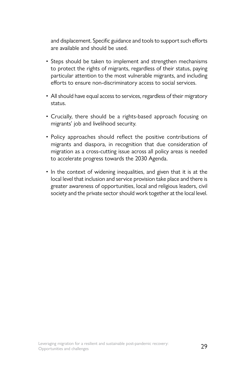and displacement. Specific guidance and tools to support such efforts are available and should be used.

- Steps should be taken to implement and strengthen mechanisms to protect the rights of migrants, regardless of their status, paying particular attention to the most vulnerable migrants, and including efforts to ensure non-discriminatory access to social services.
- All should have equal access to services, regardless of their migratory status.
- Crucially, there should be a rights-based approach focusing on migrants' job and livelihood security.
- Policy approaches should reflect the positive contributions of migrants and diaspora, in recognition that due consideration of migration as a cross-cutting issue across all policy areas is needed to accelerate progress towards the 2030 Agenda.
- In the context of widening inequalities, and given that it is at the local level that inclusion and service provision take place and there is greater awareness of opportunities, local and religious leaders, civil society and the private sector should work together at the local level.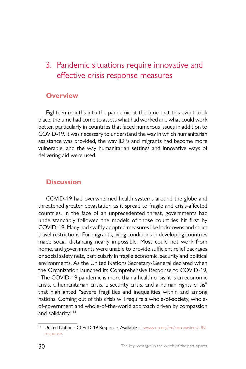# 3. Pandemic situations require innovative and effective crisis response measures

#### **Overview**

Eighteen months into the pandemic at the time that this event took place, the time had come to assess what had worked and what could work better, particularly in countries that faced numerous issues in addition to COVID-19. It was necessary to understand the way in which humanitarian assistance was provided, the way IDPs and migrants had become more vulnerable, and the way humanitarian settings and innovative ways of delivering aid were used.

## **Discussion**

COVID-19 had overwhelmed health systems around the globe and threatened greater devastation as it spread to fragile and crisis-affected countries. In the face of an unprecedented threat, governments had understandably followed the models of those countries hit first by COVID-19. Many had swiftly adopted measures like lockdowns and strict travel restrictions. For migrants, living conditions in developing countries made social distancing nearly impossible. Most could not work from home, and governments were unable to provide sufficient relief packages or social safety nets, particularly in fragile economic, security and political environments. As the United Nations Secretary-General declared when the Organization launched its Comprehensive Response to COVID-19, "The COVID-19 pandemic is more than a health crisis; it is an economic crisis, a humanitarian crisis, a security crisis, and a human rights crisis" that highlighted "severe fragilities and inequalities within and among nations. Coming out of this crisis will require a whole-of-society, wholeof-government and whole-of-the-world approach driven by compassion and solidarity."14

<sup>&</sup>lt;sup>14</sup> United Nations: COVID-19 Response. Available at [www.un.org/en/coronavirus/UN](http://www.un.org/en/coronavirus/UN-response)[response](http://www.un.org/en/coronavirus/UN-response).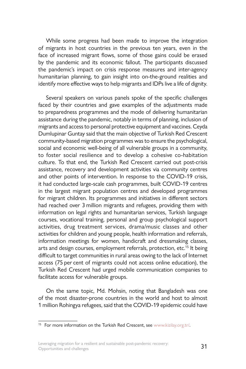While some progress had been made to improve the integration of migrants in host countries in the previous ten years, even in the face of increased migrant flows, some of those gains could be erased by the pandemic and its economic fallout. The participants discussed the pandemic's impact on crisis response measures and inter-agency humanitarian planning, to gain insight into on-the-ground realities and identify more effective ways to help migrants and IDPs live a life of dignity.

Several speakers on various panels spoke of the specific challenges faced by their countries and gave examples of the adjustments made to preparedness programmes and the mode of delivering humanitarian assistance during the pandemic, notably in terms of planning, inclusion of migrants and access to personal protective equipment and vaccines. Ceyda Dumlupinar Guntay said that the main objective of Turkish Red Crescent community-based migration programmes was to ensure the psychological, social and economic well-being of all vulnerable groups in a community, to foster social resilience and to develop a cohesive co-habitation culture. To that end, the Turkish Red Crescent carried out post-crisis assistance, recovery and development activities via community centres and other points of intervention. In response to the COVID-19 crisis, it had conducted large-scale cash programmes, built COVID-19 centres in the largest migrant population centres and developed programmes for migrant children. Its programmes and initiatives in different sectors had reached over 3 million migrants and refugees, providing them with information on legal rights and humanitarian services, Turkish language courses, vocational training, personal and group psychological support activities, drug treatment services, drama/music classes and other activities for children and young people, health information and referrals, information meetings for women, handicraft and dressmaking classes, arts and design courses, employment referrals, protection, etc.<sup>15</sup> It being difficult to target communities in rural areas owing to the lack of Internet access (75 per cent of migrants could not access online education), the Turkish Red Crescent had urged mobile communication companies to facilitate access for vulnerable groups.

On the same topic, Md. Mohsin, noting that Bangladesh was one of the most disaster-prone countries in the world and host to almost 1 million Rohingya refugees, said that the COVID-19 epidemic could have

<sup>&</sup>lt;sup>15</sup> For more information on the Turkish Red Crescent, see www.kizilay.org.tr/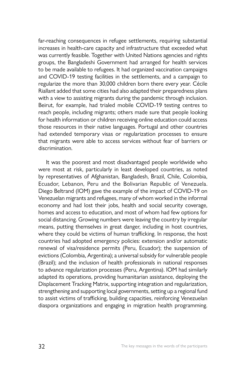far-reaching consequences in refugee settlements, requiring substantial increases in health-care capacity and infrastructure that exceeded what was currently feasible. Together with United Nations agencies and rights groups, the Bangladeshi Government had arranged for health services to be made available to refugees. It had organized vaccination campaigns and COVID-19 testing facilities in the settlements, and a campaign to regularize the more than 30,000 children born there every year. Cécile Riallant added that some cities had also adapted their preparedness plans with a view to assisting migrants during the pandemic through inclusion. Beirut, for example, had trialed mobile COVID-19 testing centres to reach people, including migrants; others made sure that people looking for health information or children receiving online education could access those resources in their native languages. Portugal and other countries had extended temporary visas or regularization processes to ensure that migrants were able to access services without fear of barriers or discrimination.

It was the poorest and most disadvantaged people worldwide who were most at risk, particularly in least developed countries, as noted by representatives of Afghanistan, Bangladesh, Brazil, Chile, Colombia, Ecuador, Lebanon, Peru and the Bolivarian Republic of Venezuela. Diego Beltrand (IOM) gave the example of the impact of COVID-19 on Venezuelan migrants and refugees, many of whom worked in the informal economy and had lost their jobs, health and social security coverage, homes and access to education, and most of whom had few options for social distancing. Growing numbers were leaving the country by irregular means, putting themselves in great danger, including in host countries, where they could be victims of human trafficking. In response, the host countries had adopted emergency policies: extension and/or automatic renewal of visa/residence permits (Peru, Ecuador); the suspension of evictions (Colombia, Argentina); a universal subsidy for vulnerable people (Brazil); and the inclusion of health professionals in national responses to advance regularization processes (Peru, Argentina). IOM had similarly adapted its operations, providing humanitarian assistance, deploying the Displacement Tracking Matrix, supporting integration and regularization, strengthening and supporting local governments, setting up a regional fund to assist victims of trafficking, building capacities, reinforcing Venezuelan diaspora organizations and engaging in migration health programming.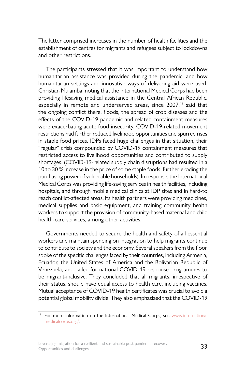The latter comprised increases in the number of health facilities and the establishment of centres for migrants and refugees subject to lockdowns and other restrictions.

The participants stressed that it was important to understand how humanitarian assistance was provided during the pandemic, and how humanitarian settings and innovative ways of delivering aid were used. Christian Mulamba, noting that the International Medical Corps had been providing lifesaving medical assistance in the Central African Republic, especially in remote and underserved areas, since 2007,<sup>16</sup> said that the ongoing conflict there, floods, the spread of crop diseases and the effects of the COVID-19 pandemic and related containment measures were exacerbating acute food insecurity. COVID-19-related movement restrictions had further reduced livelihood opportunities and spurred rises in staple food prices. IDPs faced huge challenges in that situation, their "regular" crisis compounded by COVID-19 containment measures that restricted access to livelihood opportunities and contributed to supply shortages. (COVID-19-related supply chain disruptions had resulted in a 10 to 30 % increase in the price of some staple foods, further eroding the purchasing power of vulnerable households). In response, the International Medical Corps was providing life-saving services in health facilities, including hospitals, and through mobile medical clinics at IDP sites and in hard-to reach conflict-affected areas. Its health partners were providing medicines, medical supplies and basic equipment, and training community health workers to support the provision of community-based maternal and child health-care services, among other activities.

Governments needed to secure the health and safety of all essential workers and maintain spending on integration to help migrants continue to contribute to society and the economy. Several speakers from the floor spoke of the specific challenges faced by their countries, including Armenia, Ecuador, the United States of America and the Bolivarian Republic of Venezuela, and called for national COVID-19 response programmes to be migrant-inclusive. They concluded that all migrants, irrespective of their status, should have equal access to health care, including vaccines. Mutual acceptance of COVID-19 health certificates was crucial to avoid a potential global mobility divide. They also emphasized that the COVID-19

<sup>&</sup>lt;sup>16</sup> For more information on the International Medical Corps, see www.international [medicalcorps.org/](http://www.internationalmedicalcorps.org/).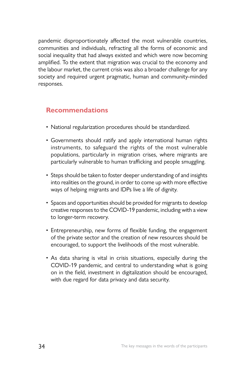pandemic disproportionately affected the most vulnerable countries, communities and individuals, refracting all the forms of economic and social inequality that had always existed and which were now becoming amplified. To the extent that migration was crucial to the economy and the labour market, the current crisis was also a broader challenge for any society and required urgent pragmatic, human and community-minded responses.

### **Recommendations**

- National regularization procedures should be standardized.
- Governments should ratify and apply international human rights instruments, to safeguard the rights of the most vulnerable populations, particularly in migration crises, where migrants are particularly vulnerable to human trafficking and people smuggling.
- Steps should be taken to foster deeper understanding of and insights into realities on the ground, in order to come up with more effective ways of helping migrants and IDPs live a life of dignity.
- Spaces and opportunities should be provided for migrants to develop creative responses to the COVID-19 pandemic, including with a view to longer-term recovery.
- Entrepreneurship, new forms of flexible funding, the engagement of the private sector and the creation of new resources should be encouraged, to support the livelihoods of the most vulnerable.
- As data sharing is vital in crisis situations, especially during the COVID-19 pandemic, and central to understanding what is going on in the field, investment in digitalization should be encouraged, with due regard for data privacy and data security.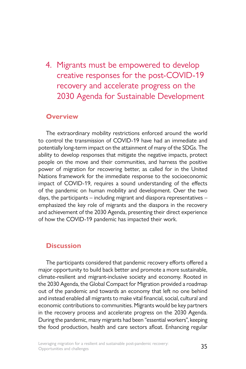4. Migrants must be empowered to develop creative responses for the post-COVID-19 recovery and accelerate progress on the 2030 Agenda for Sustainable Development

#### **Overview**

The extraordinary mobility restrictions enforced around the world to control the transmission of COVID-19 have had an immediate and potentially long-term impact on the attainment of many of the SDGs. The ability to develop responses that mitigate the negative impacts, protect people on the move and their communities, and harness the positive power of migration for recovering better, as called for in the United Nations framework for the immediate response to the socioeconomic impact of COVID-19, requires a sound understanding of the effects of the pandemic on human mobility and development. Over the two days, the participants – including migrant and diaspora representatives – emphasized the key role of migrants and the diaspora in the recovery and achievement of the 2030 Agenda, presenting their direct experience of how the COVID-19 pandemic has impacted their work.

## **Discussion**

The participants considered that pandemic recovery efforts offered a major opportunity to build back better and promote a more sustainable, climate-resilient and migrant-inclusive society and economy. Rooted in the 2030 Agenda, the Global Compact for Migration provided a roadmap out of the pandemic and towards an economy that left no one behind and instead enabled all migrants to make vital financial, social, cultural and economic contributions to communities. Migrants would be key partners in the recovery process and accelerate progress on the 2030 Agenda. During the pandemic, many migrants had been "essential workers", keeping the food production, health and care sectors afloat. Enhancing regular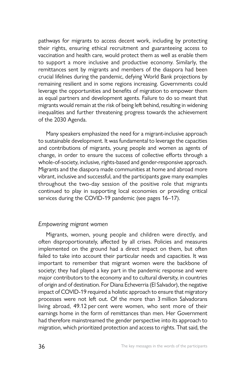pathways for migrants to access decent work, including by protecting their rights, ensuring ethical recruitment and guaranteeing access to vaccination and health care, would protect them as well as enable them to support a more inclusive and productive economy. Similarly, the remittances sent by migrants and members of the diaspora had been crucial lifelines during the pandemic, defying World Bank projections by remaining resilient and in some regions increasing. Governments could leverage the opportunities and benefits of migration to empower them as equal partners and development agents. Failure to do so meant that migrants would remain at the risk of being left behind, resulting in widening inequalities and further threatening progress towards the achievement of the 2030 Agenda.

Many speakers emphasized the need for a migrant-inclusive approach to sustainable development. It was fundamental to leverage the capacities and contributions of migrants, young people and women as agents of change, in order to ensure the success of collective efforts through a whole-of-society, inclusive, rights-based and gender-responsive approach. Migrants and the diaspora made communities at home and abroad more vibrant, inclusive and successful, and the participants gave many examples throughout the two-day session of the positive role that migrants continued to play in supporting local economies or providing critical services during the COVID-19 pandemic (see pages 16–17).

#### *Empowering migrant women*

Migrants, women, young people and children were directly, and often disproportionately, affected by all crises. Policies and measures implemented on the ground had a direct impact on them, but often failed to take into account their particular needs and capacities. It was important to remember that migrant women were the backbone of society; they had played a key part in the pandemic response and were major contributors to the economy and to cultural diversity, in countries of origin and of destination. For Diana Echeverria (El Salvador), the negative impact of COVID-19 required a holistic approach to ensure that migratory processes were not left out. Of the more than 3 million Salvadorans living abroad, 49.12 per cent were women, who sent more of their earnings home in the form of remittances than men. Her Government had therefore mainstreamed the gender perspective into its approach to migration, which prioritized protection and access to rights. That said, the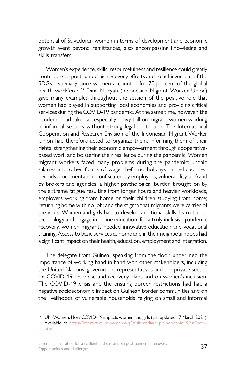potential of Salvadoran women in terms of development and economic growth went beyond remittances, also encompassing knowledge and skills transfers.

Women's experience, skills, resourcefulness and resilience could greatly contribute to post-pandemic recovery efforts and to achievement of the SDGs, especially since women accounted for 70 per cent of the global health workforce.17 Dina Nuryati (Indonesian Migrant Worker Union) gave many examples throughout the session of the positive role that women had played in supporting local economies and providing critical services during the COVID-19 pandemic. At the same time, however, the pandemic had taken an especially heavy toll on migrant women working in informal sectors without strong legal protection. The International Cooperation and Research Division of the Indonesian Migrant Worker Union had therefore acted to organize them, informing them of their rights, strengthening their economic empowerment through cooperativebased work and bolstering their resilience during the pandemic. Women migrant workers faced many problems during the pandemic: unpaid salaries and other forms of wage theft; no holidays or reduced rest periods; documentation confiscated by employers; vulnerability to fraud by brokers and agencies; a higher psychological burden brought on by the extreme fatigue resulting from longer hours and heavier workloads, employers working from home or their children studying from home; returning home with no job; and the stigma that migrants were carries of the virus. Women and girls had to develop additional skills, learn to use technology and engage in online education; for a truly inclusive pandemic recovery, women migrants needed innovative education and vocational training. Access to basic services at home and in their neighbourhoods had a significant impact on their health, education, employment and integration.

The delegate from Guinea, speaking from the floor, underlined the importance of working hand in hand with other stakeholders, including the United Nations, government representatives and the private sector, on COVID-19 response and recovery plans and on women's inclusion. The COVID-19 crisis and the ensuing border restrictions had had a negative socioeconomic impact on Guinean border communities and on the livelihoods of vulnerable households relying on small and informal

Leveraging migration for a resilient and sustainable post-pandemic recovery:<br>Concentratives and shallonges Opportunities and challenges

<sup>&</sup>lt;sup>17</sup> UN-Women, How COVID-19 impacts women and girls (last updated 17 March 2021). Available at [https://interactive.unwomen.org/multimedia/explainer/covid19/en/index.](https://interactive.unwomen.org/multimedia/explainer/covid19/en/index.html) [html](https://interactive.unwomen.org/multimedia/explainer/covid19/en/index.html).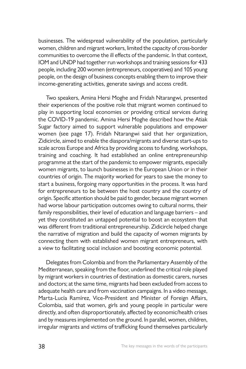businesses. The widespread vulnerability of the population, particularly women, children and migrant workers, limited the capacity of cross-border communities to overcome the ill effects of the pandemic. In that context, IOM and UNDP had together run workshops and training sessions for 433 people, including 200 women (entrepreneurs, cooperatives) and 105 young people, on the design of business concepts enabling them to improve their income-generating activities, generate savings and access credit.

Two speakers, Amina Hersi Moghe and Fridah Ntarangwi, presented their experiences of the positive role that migrant women continued to play in supporting local economies or providing critical services during the COVID-19 pandemic. Amina Hersi Moghe described how the Atiak Sugar factory aimed to support vulnerable populations and empower women (see page 17). Fridah Ntarangwi said that her organization, Zidicircle, aimed to enable the diaspora/migrants and diverse start-ups to scale across Europe and Africa by providing access to funding, workshops, training and coaching. It had established an online entrepreneurship programme at the start of the pandemic to empower migrants, especially women migrants, to launch businesses in the European Union or in their countries of origin. The majority worked for years to save the money to start a business, forgoing many opportunities in the process. It was hard for entrepreneurs to be between the host country and the country of origin. Specific attention should be paid to gender, because migrant women had worse labour participation outcomes owing to cultural norms, their family responsibilities, their level of education and language barriers – and yet they constituted an untapped potential to boost an ecosystem that was different from traditional entrepreneurship. Zidicircle helped change the narrative of migration and build the capacity of women migrants by connecting them with established women migrant entrepreneurs, with a view to facilitating social inclusion and boosting economic potential.

Delegates from Colombia and from the Parliamentary Assembly of the Mediterranean, speaking from the floor, underlined the critical role played by migrant workers in countries of destination as domestic carers, nurses and doctors; at the same time, migrants had been excluded from access to adequate health care and from vaccination campaigns. In a video message, Marta-Lucía Ramírez, Vice-President and Minister of Foreign Affairs, Colombia, said that women, girls and young people in particular were directly, and often disproportionately, affected by economic/health crises and by measures implemented on the ground. In parallel, women, children, irregular migrants and victims of trafficking found themselves particularly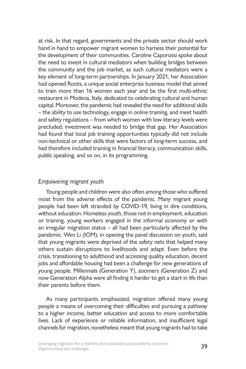at risk. In that regard, governments and the private sector should work hand in hand to empower migrant women to harness their potential for the development of their communities. Caroline Caporossi spoke about the need to invest in cultural mediators when building bridges between the community and the job market, as such cultural mediators were a key element of long-term partnerships. In January 2021, her Association had opened Roots, a unique social enterprise business model that aimed to train more than 16 women each year and be the first multi-ethnic restaurant in Modena, Italy, dedicated to celebrating cultural and human capital. Moreover, the pandemic had revealed the need for additional skills – the ability to use technology, engage in online training, and meet health and safety regulations – from which women with low literacy levels were precluded; investment was needed to bridge that gap. Her Association had found that local job training opportunities typically did not include non-technical or other skills that were factors of long-term success, and had therefore included training in financial literacy, communication skills, public speaking, and so on, in its programming.

#### *Empowering migrant youth*

Young people and children were also often among those who suffered most from the adverse effects of the pandemic. Many migrant young people had been left stranded by COVID-19, living in dire conditions, without education. Homeless youth, those not in employment, education or training, young workers engaged in the informal economy or with an irregular migration status – all had been particularly affected by the pandemic. Wen Li (IOM), in opening the panel discussion on youth, said that young migrants were deprived of the safety nets that helped many others sustain disruptions to livelihoods and adapt. Even before the crisis, transitioning to adulthood and accessing quality education, decent jobs and affordable housing had been a challenge for new generations of young people. Millennials (Generation Y), zoomers (Generation Z) and now Generation Alpha were all finding it harder to get a start in life than their parents before them.

As many participants emphasized, migration offered many young people a means of overcoming their difficulties and pursuing a pathway to a higher income, better education and access to more comfortable lives. Lack of experience or reliable information, and insufficient legal channels for migration, nonetheless meant that young migrants had to take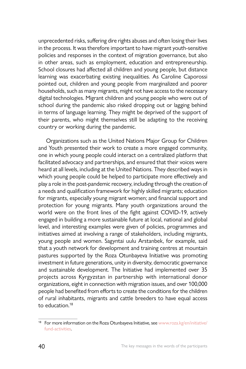unprecedented risks, suffering dire rights abuses and often losing their lives in the process. It was therefore important to have migrant youth-sensitive policies and responses in the context of migration governance, but also in other areas, such as employment, education and entrepreneurship. School closures had affected all children and young people, but distance learning was exacerbating existing inequalities. As Caroline Caporossi pointed out, children and young people from marginalized and poorer households, such as many migrants, might not have access to the necessary digital technologies. Migrant children and young people who were out of school during the pandemic also risked dropping out or lagging behind in terms of language learning. They might be deprived of the support of their parents, who might themselves still be adapting to the receiving country or working during the pandemic.

Organizations such as the United Nations Major Group for Children and Youth presented their work to create a more engaged community, one in which young people could interact on a centralized platform that facilitated advocacy and partnerships, and ensured that their voices were heard at all levels, including at the United Nations. They described ways in which young people could be helped to participate more effectively and play a role in the post-pandemic recovery, including through the creation of a needs and qualification framework for highly skilled migrants; education for migrants, especially young migrant women; and financial support and protection for young migrants. Many youth organizations around the world were on the front lines of the fight against COVID-19, actively engaged in building a more sustainable future at local, national and global level, and interesting examples were given of policies, programmes and initiatives aimed at involving a range of stakeholders, including migrants, young people and women. Sagyntai uulu Arstanbek, for example, said that a youth network for development and training centres at mountain pastures supported by the Roza Otunbayeva Initiative was promoting investment in future generations, unity in diversity, democratic governance and sustainable development. The Initiative had implemented over 35 projects across Kyrgyzstan in partnership with international donor organizations, eight in connection with migration issues, and over 100,000 people had benefited from efforts to create the conditions for the children of rural inhabitants, migrants and cattle breeders to have equal access to education.<sup>18</sup>

<sup>&</sup>lt;sup>18</sup> For more information on the Roza Otunbayeva Initiative, see [www.roza.kg/en/initiative/](http://www.roza.kg/en/initiative/fund-activities) [fund-activities](http://www.roza.kg/en/initiative/fund-activities).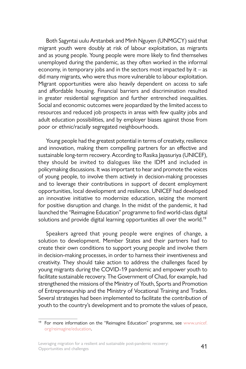Both Sagyntai uulu Arstanbek and Minh Nguyen (UNMGCY) said that migrant youth were doubly at risk of labour exploitation, as migrants and as young people. Young people were more likely to find themselves unemployed during the pandemic, as they often worked in the informal economy, in temporary jobs and in the sectors most impacted by it  $-$  as did many migrants, who were thus more vulnerable to labour exploitation. Migrant opportunities were also heavily dependent on access to safe and affordable housing. Financial barriers and discrimination resulted in greater residential segregation and further entrenched inequalities. Social and economic outcomes were jeopardized by the limited access to resources and reduced job prospects in areas with few quality jobs and adult education possibilities, and by employer biases against those from poor or ethnic/racially segregated neighbourhoods.

Young people had the greatest potential in terms of creativity, resilience and innovation, making them compelling partners for an effective and sustainable long-term recovery. According to Rasika Jayasuriya (UNICEF), they should be invited to dialogues like the IDM and included in policymaking discussions. It was important to hear and promote the voices of young people, to involve them actively in decision-making processes and to leverage their contributions in support of decent employment opportunities, local development and resilience. UNICEF had developed an innovative initiative to modernize education, seizing the moment for positive disruption and change. In the midst of the pandemic, it had launched the "Reimagine Education" programme to find world-class digital solutions and provide digital learning opportunities all over the world.<sup>19</sup>

Speakers agreed that young people were engines of change, a solution to development. Member States and their partners had to create their own conditions to support young people and involve them in decision-making processes, in order to harness their inventiveness and creativity. They should take action to address the challenges faced by young migrants during the COVID-19 pandemic and empower youth to facilitate sustainable recovery. The Government of Chad, for example, had strengthened the missions of the Ministry of Youth, Sports and Promotion of Entrepreneurship and the Ministry of Vocational Training and Trades. Several strategies had been implemented to facilitate the contribution of youth to the country's development and to promote the values of peace,

<sup>&</sup>lt;sup>19</sup> For more information on the "Reimagine Education" programme, see [www.unicef.](http://www.unicef.org/reimagine/education) [org/reimagine/education](http://www.unicef.org/reimagine/education).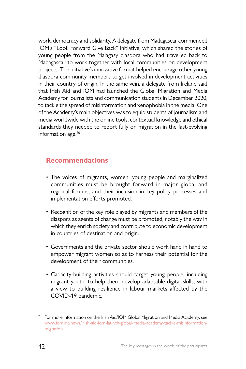work, democracy and solidarity. A delegate from Madagascar commended IOM's "Look Forward Give Back" initiative, which shared the stories of young people from the Malagasy diaspora who had travelled back to Madagascar to work together with local communities on development projects. The initiative's innovative format helped encourage other young diaspora community members to get involved in development activities in their country of origin. In the same vein, a delegate from Ireland said that Irish Aid and IOM had launched the Global Migration and Media Academy for journalists and communication students in December 2020, to tackle the spread of misinformation and xenophobia in the media. One of the Academy's main objectives was to equip students of journalism and media worldwide with the online tools, contextual knowledge and ethical standards they needed to report fully on migration in the fast-evolving information age.<sup>20</sup>

## **Recommendations**

- The voices of migrants, women, young people and marginalized communities must be brought forward in major global and regional forums, and their inclusion in key policy processes and implementation efforts promoted.
- Recognition of the key role played by migrants and members of the diaspora as agents of change must be promoted, notably the way in which they enrich society and contribute to economic development in countries of destination and origin.
- Governments and the private sector should work hand in hand to empower migrant women so as to harness their potential for the development of their communities.
- Capacity-building activities should target young people, including migrant youth, to help them develop adaptable digital skills, with a view to building resilience in labour markets affected by the COVID-19 pandemic.

<sup>&</sup>lt;sup>20</sup> For more information on the Irish Aid/IOM Global Migration and Media Academy, see [www.iom.int/news/irish-aid-iom-launch-global-media-academy-tackle-misinformation](https://www.iom.int/news/irish-aid-iom-launch-global-media-academy-tackle-misinformation-migration)[migration.](https://www.iom.int/news/irish-aid-iom-launch-global-media-academy-tackle-misinformation-migration)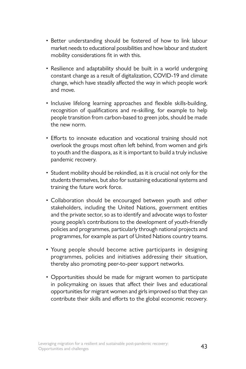- Better understanding should be fostered of how to link labour market needs to educational possibilities and how labour and student mobility considerations fit in with this.
- Resilience and adaptability should be built in a world undergoing constant change as a result of digitalization, COVID-19 and climate change, which have steadily affected the way in which people work and move.
- Inclusive lifelong learning approaches and flexible skills-building, recognition of qualifications and re-skilling, for example to help people transition from carbon-based to green jobs, should be made the new norm.
- Efforts to innovate education and vocational training should not overlook the groups most often left behind, from women and girls to youth and the diaspora, as it is important to build a truly inclusive pandemic recovery.
- Student mobility should be rekindled, as it is crucial not only for the students themselves, but also for sustaining educational systems and training the future work force.
- Collaboration should be encouraged between youth and other stakeholders, including the United Nations, government entities and the private sector, so as to identify and advocate ways to foster young people's contributions to the development of youth-friendly policies and programmes, particularly through national projects and programmes, for example as part of United Nations country teams.
- Young people should become active participants in designing programmes, policies and initiatives addressing their situation, thereby also promoting peer-to-peer support networks.
- Opportunities should be made for migrant women to participate in policymaking on issues that affect their lives and educational opportunities for migrant women and girls improved so that they can contribute their skills and efforts to the global economic recovery.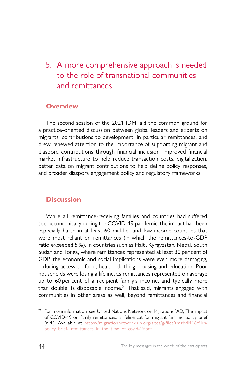# 5. A more comprehensive approach is needed to the role of transnational communities and remittances

## **Overview**

The second session of the 2021 IDM laid the common ground for a practice-oriented discussion between global leaders and experts on migrants' contributions to development, in particular remittances, and drew renewed attention to the importance of supporting migrant and diaspora contributions through financial inclusion, improved financial market infrastructure to help reduce transaction costs, digitalization, better data on migrant contributions to help define policy responses, and broader diaspora engagement policy and regulatory frameworks.

# **Discussion**

While all remittance-receiving families and countries had suffered socioeconomically during the COVID-19 pandemic, the impact had been especially harsh in at least 60 middle- and low-income countries that were most reliant on remittances (in which the remittances-to-GDP ratio exceeded 5 %). In countries such as Haiti, Kyrgyzstan, Nepal, South Sudan and Tonga, where remittances represented at least 30 per cent of GDP, the economic and social implications were even more damaging, reducing access to food, health, clothing, housing and education. Poor households were losing a lifeline, as remittances represented on average up to 60 per cent of a recipient family's income, and typically more than double its disposable income.<sup>21</sup> That said, migrants engaged with communities in other areas as well, beyond remittances and financial

<sup>&</sup>lt;sup>21</sup> For more information, see United Nations Network on Migration/IFAD, The impact of COVID-19 on family remittances: a lifeline cut for migrant families, policy brief (n.d.). Available at [https://migrationnetwork.un.org/sites/g/files/tmzbdl416/files/](https://migrationnetwork.un.org/sites/g/files/tmzbdl416/files/policy_brief-_remittances_in_the_time_of_covid-19.pdf) [policy\\_brief-\\_remittances\\_in\\_the\\_time\\_of\\_covid-19.pdf.](https://migrationnetwork.un.org/sites/g/files/tmzbdl416/files/policy_brief-_remittances_in_the_time_of_covid-19.pdf)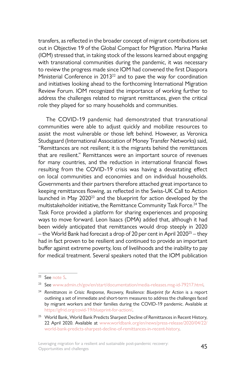transfers, as reflected in the broader concept of migrant contributions set out in Objective 19 of the Global Compact for Migration. Marina Manke (IOM) stressed that, in taking stock of the lessons learned about engaging with transnational communities during the pandemic, it was necessary to review the progress made since IOM had convened the first Diaspora Ministerial Conference in 2013<sup>22</sup> and to pave the way for coordination and initiatives looking ahead to the forthcoming International Migration Review Forum. IOM recognized the importance of working further to address the challenges related to migrant remittances, given the critical role they played for so many households and communities.

The COVID-19 pandemic had demonstrated that transnational communities were able to adjust quickly and mobilize resources to assist the most vulnerable or those left behind. However, as Veronica Studsgaard (International Association of Money Transfer Networks) said, "Remittances are not resilient; it is the migrants behind the remittances that are resilient." Remittances were an important source of revenues for many countries, and the reduction in international financial flows resulting from the COVID-19 crisis was having a devastating effect on local communities and economies and on individual households. Governments and their partners therefore attached great importance to keeping remittances flowing, as reflected in the Swiss-UK Call to Action launched in May 202023 and the blueprint for action developed by the multistakeholder initiative, the Remittance Community Task Force.<sup>24</sup> The Task Force provided a platform for sharing experiences and proposing ways to move forward. Leon Isaacs (DMA) added that, although it had been widely anticipated that remittances would drop steeply in 2020 – the World Bank had forecast a drop of 20 per cent in April 2020 $25$  – they had in fact proven to be resilient and continued to provide an important buffer against extreme poverty, loss of livelihoods and the inability to pay for medical treatment. Several speakers noted that the IOM publication

<sup>22</sup> See [note 5.](#page-21-0)

<sup>&</sup>lt;sup>23</sup> See [www.admin.ch/gov/en/start/documentation/media-releases.msg-id-79217.html](http://www.admin.ch/gov/en/start/documentation/media-releases.msg-id-79217.html)

<sup>&</sup>lt;sup>24</sup> [Remittances in Crisis: Response, Recovery, Resilience: Blueprint for Action](https://gfrid.org/covid-19/) is a report outlining a set of immediate and short-term measures to address the challenges faced by migrant workers and their families during the COVID-19 pandemic. Available at <https://gfrid.org/covid-19/blueprint-for-action/>.

<sup>&</sup>lt;sup>25</sup> World Bank, World Bank Predicts Sharpest Decline of Remittances in Recent History, 22 April 2020. Available at [www.worldbank.org/en/news/press-release/2020/04/22/](https://www.worldbank.org/en/news/press-release/2020/04/22/world-bank-predicts-sharpest-decline-of-remittances-in-recent-history) [world-bank-predicts-sharpest-decline-of-remittances-in-recent-history](https://www.worldbank.org/en/news/press-release/2020/04/22/world-bank-predicts-sharpest-decline-of-remittances-in-recent-history).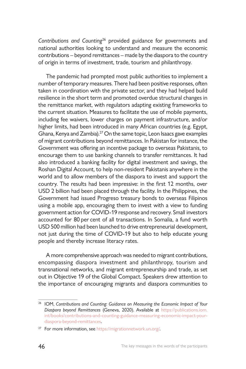*Contributions and Counting*26 provided guidance for governments and national authorities looking to understand and measure the economic contributions – beyond remittances – made by the diaspora to the country of origin in terms of investment, trade, tourism and philanthropy.

The pandemic had prompted most public authorities to implement a number of temporary measures. There had been positive responses, often taken in coordination with the private sector, and they had helped build resilience in the short term and promoted overdue structural changes in the remittance market, with regulators adapting existing frameworks to the current situation. Measures to facilitate the use of mobile payments, including fee waivers, lower charges on payment infrastructure, and/or higher limits, had been introduced in many African countries (e.g. Egypt, Ghana, Kenya and Zambia).27 On the same topic, Leon Isaacs gave examples of migrant contributions beyond remittances. In Pakistan for instance, the Government was offering an incentive package to overseas Pakistanis, to encourage them to use banking channels to transfer remittances. It had also introduced a banking facility for digital investment and savings, the Roshan Digital Account, to help non-resident Pakistanis anywhere in the world and to allow members of the diaspora to invest and support the country. The results had been impressive: in the first 12 months, over USD 2 billion had been placed through the facility. In the Philippines, the Government had issued Progreso treasury bonds to overseas Filipinos using a mobile app, encouraging them to invest with a view to funding government action for COVID-19 response and recovery. Small investors accounted for 80 per cent of all transactions. In Somalia, a fund worth USD 500 million had been launched to drive entrepreneurial development, not just during the time of COVID-19 but also to help educate young people and thereby increase literacy rates.

A more comprehensive approach was needed to migrant contributions, encompassing diaspora investment and philanthropy, tourism and transnational networks, and migrant entrepreneurship and trade, as set out in Objective 19 of the Global Compact. Speakers drew attention to the importance of encouraging migrants and diaspora communities to

<sup>26</sup> IOM, *Contributions and Counting: Guidance on Measuring the Economic Impact of Your Diaspora beyond Remittances* (Geneva, 2020). Available at [https://publications.iom.](https://publications.iom.int/books/contributions-and-counting-guidance-measuring-economic-impact-your-diaspora-beyond-remittances) [int/books/contributions-and-counting-guidance-measuring-economic-impact-your](https://publications.iom.int/books/contributions-and-counting-guidance-measuring-economic-impact-your-diaspora-beyond-remittances)[diaspora-beyond-remittances](https://publications.iom.int/books/contributions-and-counting-guidance-measuring-economic-impact-your-diaspora-beyond-remittances).

<sup>27</sup> For more information, see [https://migrationnetwork.un.org/.](https://migrationnetwork.un.org/)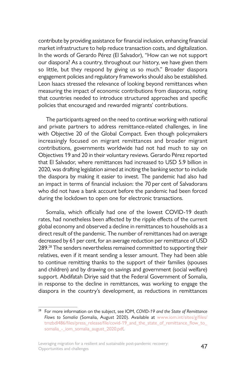contribute by providing assistance for financial inclusion, enhancing financial market infrastructure to help reduce transaction costs, and digitalization. In the words of Gerardo Pérez (El Salvador), "How can we not support our diaspora? As a country, throughout our history, we have given them so little, but they respond by giving us so much." Broader diaspora engagement policies and regulatory frameworks should also be established. Leon Isaacs stressed the relevance of looking beyond remittances when measuring the impact of economic contributions from diasporas, noting that countries needed to introduce structured approaches and specific policies that encouraged and rewarded migrants' contributions.

The participants agreed on the need to continue working with national and private partners to address remittance-related challenges, in line with Objective 20 of the Global Compact. Even though policymakers increasingly focused on migrant remittances and broader migrant contributions, governments worldwide had not had much to say on Objectives 19 and 20 in their voluntary reviews. Gerardo Pérez reported that El Salvador, where remittances had increased to USD 5.9 billion in 2020, was drafting legislation aimed at inciting the banking sector to include the diaspora by making it easier to invest. The pandemic had also had an impact in terms of financial inclusion: the 70 per cent of Salvadorans who did not have a bank account before the pandemic had been forced during the lockdown to open one for electronic transactions.

Somalia, which officially had one of the lowest COVID-19 death rates, had nonetheless been affected by the ripple effects of the current global economy and observed a decline in remittances to households as a direct result of the pandemic. The number of remittances had on average decreased by 61 per cent, for an average reduction per remittance of USD 289.<sup>28</sup> The senders nevertheless remained committed to supporting their relatives, even if it meant sending a lesser amount. They had been able to continue remitting thanks to the support of their families (spouses and children) and by drawing on savings and government (social welfare) support. Abdifatah Diriye said that the Federal Government of Somalia, in response to the decline in remittances, was working to engage the diaspora in the country's development, as reductions in remittances

<sup>28</sup> For more information on the subject, see IOM, *COVID-19 and the State of Remittance Flows to Somalia* (Somalia, August 2020). Available at [www.iom.int/sites/g/files/](http://www.iom.int/sites/g/files/tmzbdl486/files/press_release/file/covid-19_and_the_state_of_remittance_flow_to_somalia_-_iom_somalia_august_2020.pdf) [tmzbdl486/files/press\\_release/file/covid-19\\_and\\_the\\_state\\_of\\_remittance\\_flow\\_to\\_](http://www.iom.int/sites/g/files/tmzbdl486/files/press_release/file/covid-19_and_the_state_of_remittance_flow_to_somalia_-_iom_somalia_august_2020.pdf) somalia - iom somalia august 2020.pdf.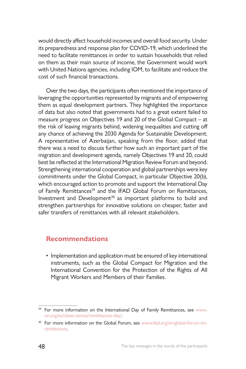would directly affect household incomes and overall food security. Under its preparedness and response plan for COVID-19, which underlined the need to facilitate remittances in order to sustain households that relied on them as their main source of income, the Government would work with United Nations agencies, including IOM, to facilitate and reduce the cost of such financial transactions.

Over the two days, the participants often mentioned the importance of leveraging the opportunities represented by migrants and of empowering them as equal development partners. They highlighted the importance of data but also noted that governments had to a great extent failed to measure progress on Objectives 19 and 20 of the Global Compact – at the risk of leaving migrants behind, widening inequalities and cutting off any chance of achieving the 2030 Agenda for Sustainable Development. A representative of Azerbaijan, speaking from the floor, added that there was a need to discuss further how such an important part of the migration and development agenda, namely Objectives 19 and 20, could best be reflected at the International Migration Review Forum and beyond. Strengthening international cooperation and global partnerships were key commitments under the Global Compact, in particular Objective 20(b), which encouraged action to promote and support the International Day of Family Remittances<sup>29</sup> and the IFAD Global Forum on Remittances, Investment and Development<sup>30</sup> as important platforms to build and strengthen partnerships for innovative solutions on cheaper, faster and safer transfers of remittances with all relevant stakeholders.

### **Recommendations**

• Implementation and application must be ensured of key international instruments, such as the Global Compact for Migration and the International Convention for the Protection of the Rights of All Migrant Workers and Members of their Families.

<sup>&</sup>lt;sup>29</sup> For more information on the International Day of Family Remittances, see [www.](http://www.un.org/en/observances/remittances-day/) [un.org/en/observances/remittances-day/](http://www.un.org/en/observances/remittances-day/).

<sup>&</sup>lt;sup>30</sup> For more information on the Global Forum, see [www.ifad.org/en/global-forum-on](http://www.ifad.org/en/global-forum-on-remittances)[remittances](http://www.ifad.org/en/global-forum-on-remittances).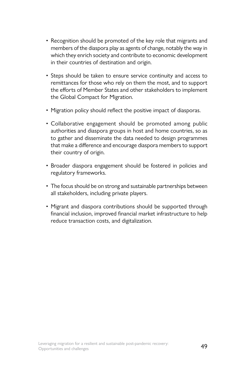- Recognition should be promoted of the key role that migrants and members of the diaspora play as agents of change, notably the way in which they enrich society and contribute to economic development in their countries of destination and origin.
- Steps should be taken to ensure service continuity and access to remittances for those who rely on them the most, and to support the efforts of Member States and other stakeholders to implement the Global Compact for Migration.
- Migration policy should reflect the positive impact of diasporas.
- Collaborative engagement should be promoted among public authorities and diaspora groups in host and home countries, so as to gather and disseminate the data needed to design programmes that make a difference and encourage diaspora members to support their country of origin.
- Broader diaspora engagement should be fostered in policies and regulatory frameworks.
- The focus should be on strong and sustainable partnerships between all stakeholders, including private players.
- Migrant and diaspora contributions should be supported through financial inclusion, improved financial market infrastructure to help reduce transaction costs, and digitalization.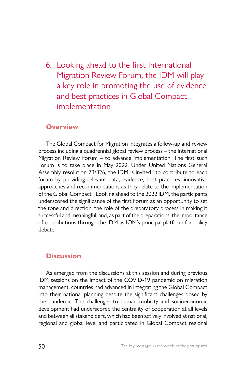6. Looking ahead to the first International Migration Review Forum, the IDM will play a key role in promoting the use of evidence and best practices in Global Compact implementation

#### **Overview**

The Global Compact for Migration integrates a follow-up and review process including a quadrennial global review process – the International Migration Review Forum – to advance implementation. The first such Forum is to take place in May 2022. Under United Nations General Assembly resolution 73/326, the IDM is invited "to contribute to each forum by providing relevant data, evidence, best practices, innovative approaches and recommendations as they relate to the implementation of the Global Compact". Looking ahead to the 2022 IDM, the participants underscored the significance of the first Forum as an opportunity to set the tone and direction; the role of the preparatory process in making it successful and meaningful; and, as part of the preparations, the importance of contributions through the IDM as IOM's principal platform for policy debate.

#### **Discussion**

As emerged from the discussions at this session and during previous IDM sessions on the impact of the COVID-19 pandemic on migration management, countries had advanced in integrating the Global Compact into their national planning despite the significant challenges posed by the pandemic. The challenges to human mobility and socioeconomic development had underscored the centrality of cooperation at all levels and between all stakeholders, which had been actively involved at national, regional and global level and participated in Global Compact regional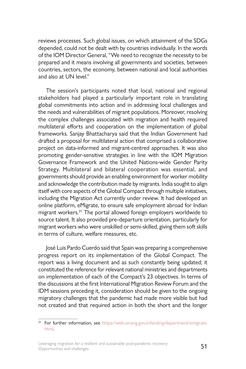reviews processes. Such global issues, on which attainment of the SDGs depended, could not be dealt with by countries individually. In the words of the IOM Director General, "We need to recognize the necessity to be prepared and it means involving all governments and societies, between countries, sectors, the economy, between national and local authorities and also at UN level."

The session's participants noted that local, national and regional stakeholders had played a particularly important role in translating global commitments into action and in addressing local challenges and the needs and vulnerabilities of migrant populations. Moreover, resolving the complex challenges associated with migration and health required multilateral efforts and cooperation on the implementation of global frameworks. Sanjay Bhattacharya said that the Indian Government had drafted a proposal for multilateral action that comprised a collaborative project on data-informed and migrant-centred approaches. It was also promoting gender-sensitive strategies in line with the IOM Migration Governance Framework and the United Nations-wide Gender Parity Strategy. Multilateral and bilateral cooperation was essential, and governments should provide an enabling environment for worker mobility and acknowledge the contribution made by migrants. India sought to align itself with core aspects of the Global Compact through multiple initiatives, including the Migration Act currently under review. It had developed an online platform, eMigrate, to ensure safe employment abroad for Indian migrant workers.<sup>31</sup> The portal allowed foreign employers worldwide to source talent. It also provided pre-departure orientation, particularly for migrant workers who were unskilled or semi-skilled, giving them soft skills in terms of culture, welfare measures, etc.

José Luis Pardo Cuerdo said that Spain was preparing a comprehensive progress report on its implementation of the Global Compact. The report was a living document and as such constantly being updated; it constituted the reference for relevant national ministries and departments on implementation of each of the Compact's 23 objectives. In terms of the discussions at the first International Migration Review Forum and the IDM sessions preceding it, consideration should be given to the ongoing migratory challenges that the pandemic had made more visible but had not created and that required action in both the short and the longer

<sup>&</sup>lt;sup>31</sup> For further information, see [https://web.umang.gov.in/landing/department/emigrate.](https://web.umang.gov.in/landing/department/emigrate.html) [html](https://web.umang.gov.in/landing/department/emigrate.html).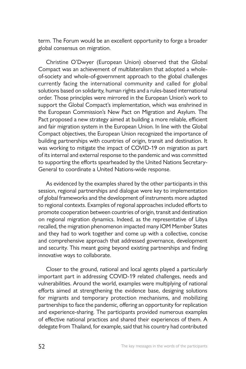term. The Forum would be an excellent opportunity to forge a broader global consensus on migration.

Christine O'Dwyer (European Union) observed that the Global Compact was an achievement of multilateralism that adopted a wholeof-society and whole-of-government approach to the global challenges currently facing the international community and called for global solutions based on solidarity, human rights and a rules-based international order. Those principles were mirrored in the European Union's work to support the Global Compact's implementation, which was enshrined in the European Commission's New Pact on Migration and Asylum. The Pact proposed a new strategy aimed at building a more reliable, efficient and fair migration system in the European Union. In line with the Global Compact objectives, the European Union recognized the importance of building partnerships with countries of origin, transit and destination. It was working to mitigate the impact of COVID-19 on migration as part of its internal and external response to the pandemic and was committed to supporting the efforts spearheaded by the United Nations Secretary-General to coordinate a United Nations-wide response.

As evidenced by the examples shared by the other participants in this session, regional partnerships and dialogue were key to implementation of global frameworks and the development of instruments more adapted to regional contexts. Examples of regional approaches included efforts to promote cooperation between countries of origin, transit and destination on regional migration dynamics. Indeed, as the representative of Libya recalled, the migration phenomenon impacted many IOM Member States and they had to work together and come up with a collective, concise and comprehensive approach that addressed governance, development and security. This meant going beyond existing partnerships and finding innovative ways to collaborate.

Closer to the ground, national and local agents played a particularly important part in addressing COVID-19 related challenges, needs and vulnerabilities. Around the world, examples were multiplying of national efforts aimed at strengthening the evidence base, designing solutions for migrants and temporary protection mechanisms, and mobilizing partnerships to face the pandemic, offering an opportunity for replication and experience-sharing. The participants provided numerous examples of effective national practices and shared their experiences of them. A delegate from Thailand, for example, said that his country had contributed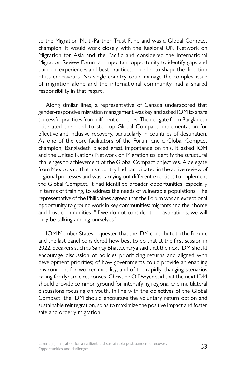to the Migration Multi-Partner Trust Fund and was a Global Compact champion. It would work closely with the Regional UN Network on Migration for Asia and the Pacific and considered the International Migration Review Forum an important opportunity to identify gaps and build on experiences and best practices, in order to shape the direction of its endeavours. No single country could manage the complex issue of migration alone and the international community had a shared responsibility in that regard.

Along similar lines, a representative of Canada underscored that gender-responsive migration management was key and asked IOM to share successful practices from different countries. The delegate from Bangladesh reiterated the need to step up Global Compact implementation for effective and inclusive recovery, particularly in countries of destination. As one of the core facilitators of the Forum and a Global Compact champion, Bangladesh placed great importance on this. It asked IOM and the United Nations Network on Migration to identify the structural challenges to achievement of the Global Compact objectives. A delegate from Mexico said that his country had participated in the active review of regional processes and was carrying out different exercises to implement the Global Compact. It had identified broader opportunities, especially in terms of training, to address the needs of vulnerable populations. The representative of the Philippines agreed that the Forum was an exceptional opportunity to ground work in key communities: migrants and their home and host communities: "If we do not consider their aspirations, we will only be talking among ourselves."

IOM Member States requested that the IDM contribute to the Forum, and the last panel considered how best to do that at the first session in 2022. Speakers such as Sanjay Bhattacharya said that the next IDM should encourage discussion of policies prioritizing returns and aligned with development priorities; of how governments could provide an enabling environment for worker mobility; and of the rapidly changing scenarios calling for dynamic responses. Christine O'Dwyer said that the next IDM should provide common ground for intensifying regional and multilateral discussions focusing on youth. In line with the objectives of the Global Compact, the IDM should encourage the voluntary return option and sustainable reintegration, so as to maximize the positive impact and foster safe and orderly migration.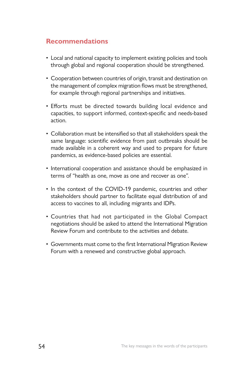## **Recommendations**

- Local and national capacity to implement existing policies and tools through global and regional cooperation should be strengthened.
- Cooperation between countries of origin, transit and destination on the management of complex migration flows must be strengthened, for example through regional partnerships and initiatives.
- Efforts must be directed towards building local evidence and capacities, to support informed, context-specific and needs-based action.
- Collaboration must be intensified so that all stakeholders speak the same language: scientific evidence from past outbreaks should be made available in a coherent way and used to prepare for future pandemics, as evidence-based policies are essential.
- International cooperation and assistance should be emphasized in terms of "health as one, move as one and recover as one".
- In the context of the COVID-19 pandemic, countries and other stakeholders should partner to facilitate equal distribution of and access to vaccines to all, including migrants and IDPs.
- Countries that had not participated in the Global Compact negotiations should be asked to attend the International Migration Review Forum and contribute to the activities and debate.
- Governments must come to the first International Migration Review Forum with a renewed and constructive global approach.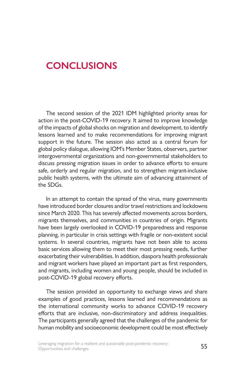# **CONCLUSIONS**

The second session of the 2021 IDM highlighted priority areas for action in the post-COVID-19 recovery. It aimed to improve knowledge of the impacts of global shocks on migration and development, to identify lessons learned and to make recommendations for improving migrant support in the future. The session also acted as a central forum for global policy dialogue, allowing IOM's Member States, observers, partner intergovernmental organizations and non-governmental stakeholders to discuss pressing migration issues in order to advance efforts to ensure safe, orderly and regular migration, and to strengthen migrant-inclusive public health systems, with the ultimate aim of advancing attainment of the SDGs.

In an attempt to contain the spread of the virus, many governments have introduced border closures and/or travel restrictions and lockdowns since March 2020. This has severely affected movements across borders, migrants themselves, and communities in countries of origin. Migrants have been largely overlooked in COVID-19 preparedness and response planning, in particular in crisis settings with fragile or non-existent social systems. In several countries, migrants have not been able to access basic services allowing them to meet their most pressing needs, further exacerbating their vulnerabilities. In addition, diaspora health professionals and migrant workers have played an important part as first responders, and migrants, including women and young people, should be included in post-COVID-19 global recovery efforts.

The session provided an opportunity to exchange views and share examples of good practices, lessons learned and recommendations as the international community works to advance COVID-19 recovery efforts that are inclusive, non-discriminatory and address inequalities. The participants generally agreed that the challenges of the pandemic for human mobility and socioeconomic development could be most effectively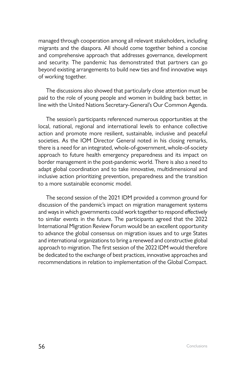managed through cooperation among all relevant stakeholders, including migrants and the diaspora. All should come together behind a concise and comprehensive approach that addresses governance, development and security. The pandemic has demonstrated that partners can go beyond existing arrangements to build new ties and find innovative ways of working together.

The discussions also showed that particularly close attention must be paid to the role of young people and women in building back better, in line with the United Nations Secretary-General's Our Common Agenda.

The session's participants referenced numerous opportunities at the local, national, regional and international levels to enhance collective action and promote more resilient, sustainable, inclusive and peaceful societies. As the IOM Director General noted in his closing remarks, there is a need for an integrated, whole-of-government, whole-of-society approach to future health emergency preparedness and its impact on border management in the post-pandemic world. There is also a need to adapt global coordination and to take innovative, multidimensional and inclusive action prioritizing prevention, preparedness and the transition to a more sustainable economic model.

The second session of the 2021 IDM provided a common ground for discussion of the pandemic's impact on migration management systems and ways in which governments could work together to respond effectively to similar events in the future. The participants agreed that the 2022 International Migration Review Forum would be an excellent opportunity to advance the global consensus on migration issues and to urge States and international organizations to bring a renewed and constructive global approach to migration. The first session of the 2022 IDM would therefore be dedicated to the exchange of best practices, innovative approaches and recommendations in relation to implementation of the Global Compact.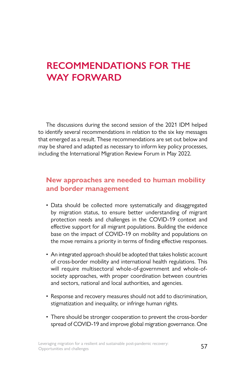# **RECOMMENDATIONS FOR THE WAY FORWARD**

The discussions during the second session of the 2021 IDM helped to identify several recommendations in relation to the six key messages that emerged as a result. These recommendations are set out below and may be shared and adapted as necessary to inform key policy processes, including the International Migration Review Forum in May 2022.

# **New approaches are needed to human mobility and border management**

- Data should be collected more systematically and disaggregated by migration status, to ensure better understanding of migrant protection needs and challenges in the COVID-19 context and effective support for all migrant populations. Building the evidence base on the impact of COVID-19 on mobility and populations on the move remains a priority in terms of finding effective responses.
- An integrated approach should be adopted that takes holistic account of cross-border mobility and international health regulations. This will require multisectoral whole-of-government and whole-ofsociety approaches, with proper coordination between countries and sectors, national and local authorities, and agencies.
- Response and recovery measures should not add to discrimination, stigmatization and inequality, or infringe human rights.
- There should be stronger cooperation to prevent the cross-border spread of COVID-19 and improve global migration governance. One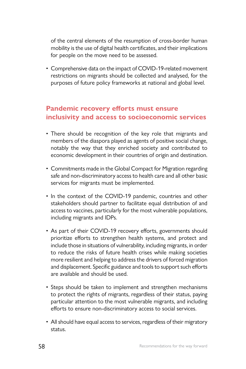of the central elements of the resumption of cross-border human mobility is the use of digital health certificates, and their implications for people on the move need to be assessed.

• Comprehensive data on the impact of COVID-19-related movement restrictions on migrants should be collected and analysed, for the purposes of future policy frameworks at national and global level.

# **Pandemic recovery efforts must ensure inclusivity and access to socioeconomic services**

- There should be recognition of the key role that migrants and members of the diaspora played as agents of positive social change, notably the way that they enriched society and contributed to economic development in their countries of origin and destination.
- Commitments made in the Global Compact for Migration regarding safe and non-discriminatory access to health care and all other basic services for migrants must be implemented.
- In the context of the COVID-19 pandemic, countries and other stakeholders should partner to facilitate equal distribution of and access to vaccines, particularly for the most vulnerable populations, including migrants and IDPs.
- As part of their COVID-19 recovery efforts, governments should prioritize efforts to strengthen health systems, and protect and include those in situations of vulnerability, including migrants, in order to reduce the risks of future health crises while making societies more resilient and helping to address the drivers of forced migration and displacement. Specific guidance and tools to support such efforts are available and should be used.
- Steps should be taken to implement and strengthen mechanisms to protect the rights of migrants, regardless of their status, paying particular attention to the most vulnerable migrants, and including efforts to ensure non-discriminatory access to social services.
- All should have equal access to services, regardless of their migratory status.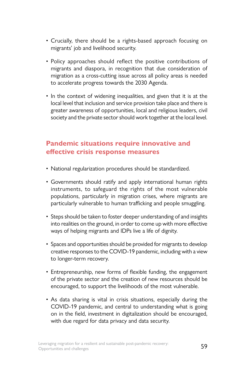- Crucially, there should be a rights-based approach focusing on migrants' job and livelihood security.
- Policy approaches should reflect the positive contributions of migrants and diaspora, in recognition that due consideration of migration as a cross-cutting issue across all policy areas is needed to accelerate progress towards the 2030 Agenda.
- In the context of widening inequalities, and given that it is at the local level that inclusion and service provision take place and there is greater awareness of opportunities, local and religious leaders, civil society and the private sector should work together at the local level.

# **Pandemic situations require innovative and effective crisis response measures**

- National regularization procedures should be standardized.
- Governments should ratify and apply international human rights instruments, to safeguard the rights of the most vulnerable populations, particularly in migration crises, where migrants are particularly vulnerable to human trafficking and people smuggling.
- Steps should be taken to foster deeper understanding of and insights into realities on the ground, in order to come up with more effective ways of helping migrants and IDPs live a life of dignity.
- Spaces and opportunities should be provided for migrants to develop creative responses to the COVID-19 pandemic, including with a view to longer-term recovery.
- Entrepreneurship, new forms of flexible funding, the engagement of the private sector and the creation of new resources should be encouraged, to support the livelihoods of the most vulnerable.
- As data sharing is vital in crisis situations, especially during the COVID-19 pandemic, and central to understanding what is going on in the field, investment in digitalization should be encouraged, with due regard for data privacy and data security.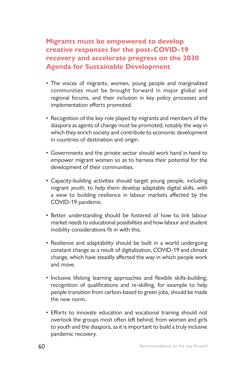# **Migrants must be empowered to develop creative responses for the post-COVID-19 recovery and accelerate progress on the 2030 Agenda for Sustainable Development**

- The voices of migrants, women, young people and marginalized communities must be brought forward in major global and regional forums, and their inclusion in key policy processes and implementation efforts promoted.
- Recognition of the key role played by migrants and members of the diaspora as agents of change must be promoted, notably the way in which they enrich society and contribute to economic development in countries of destination and origin.
- Governments and the private sector should work hand in hand to empower migrant women so as to harness their potential for the development of their communities.
- Capacity-building activities should target young people, including migrant youth, to help them develop adaptable digital skills, with a view to building resilience in labour markets affected by the COVID-19 pandemic.
- Better understanding should be fostered of how to link labour market needs to educational possibilities and how labour and student mobility considerations fit in with this.
- Resilience and adaptability should be built in a world undergoing constant change as a result of digitalization, COVID-19 and climate change, which have steadily affected the way in which people work and move.
- Inclusive lifelong learning approaches and flexible skills-building, recognition of qualifications and re-skilling, for example to help people transition from carbon-based to green jobs, should be made the new norm.
- Efforts to innovate education and vocational training should not overlook the groups most often left behind, from women and girls to youth and the diaspora, as it is important to build a truly inclusive pandemic recovery.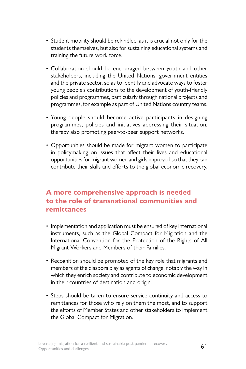- Student mobility should be rekindled, as it is crucial not only for the students themselves, but also for sustaining educational systems and training the future work force.
- Collaboration should be encouraged between youth and other stakeholders, including the United Nations, government entities and the private sector, so as to identify and advocate ways to foster young people's contributions to the development of youth-friendly policies and programmes, particularly through national projects and programmes, for example as part of United Nations country teams.
- Young people should become active participants in designing programmes, policies and initiatives addressing their situation, thereby also promoting peer-to-peer support networks.
- Opportunities should be made for migrant women to participate in policymaking on issues that affect their lives and educational opportunities for migrant women and girls improved so that they can contribute their skills and efforts to the global economic recovery.

## **A more comprehensive approach is needed to the role of transnational communities and remittances**

- Implementation and application must be ensured of key international instruments, such as the Global Compact for Migration and the International Convention for the Protection of the Rights of All Migrant Workers and Members of their Families.
- Recognition should be promoted of the key role that migrants and members of the diaspora play as agents of change, notably the way in which they enrich society and contribute to economic development in their countries of destination and origin.
- Steps should be taken to ensure service continuity and access to remittances for those who rely on them the most, and to support the efforts of Member States and other stakeholders to implement the Global Compact for Migration.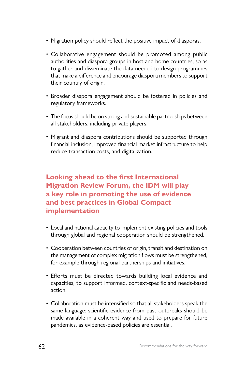- Migration policy should reflect the positive impact of diasporas.
- Collaborative engagement should be promoted among public authorities and diaspora groups in host and home countries, so as to gather and disseminate the data needed to design programmes that make a difference and encourage diaspora members to support their country of origin.
- Broader diaspora engagement should be fostered in policies and regulatory frameworks.
- The focus should be on strong and sustainable partnerships between all stakeholders, including private players.
- Migrant and diaspora contributions should be supported through financial inclusion, improved financial market infrastructure to help reduce transaction costs, and digitalization.

## **Looking ahead to the first International Migration Review Forum, the IDM will play a key role in promoting the use of evidence and best practices in Global Compact implementation**

- Local and national capacity to implement existing policies and tools through global and regional cooperation should be strengthened.
- Cooperation between countries of origin, transit and destination on the management of complex migration flows must be strengthened, for example through regional partnerships and initiatives.
- Efforts must be directed towards building local evidence and capacities, to support informed, context-specific and needs-based action.
- Collaboration must be intensified so that all stakeholders speak the same language: scientific evidence from past outbreaks should be made available in a coherent way and used to prepare for future pandemics, as evidence-based policies are essential.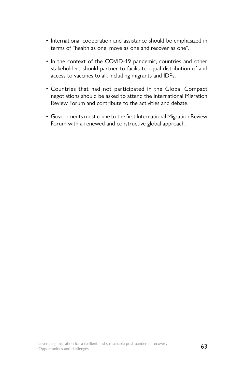- International cooperation and assistance should be emphasized in terms of "health as one, move as one and recover as one".
- In the context of the COVID-19 pandemic, countries and other stakeholders should partner to facilitate equal distribution of and access to vaccines to all, including migrants and IDPs.
- Countries that had not participated in the Global Compact negotiations should be asked to attend the International Migration Review Forum and contribute to the activities and debate.
- Governments must come to the first International Migration Review Forum with a renewed and constructive global approach.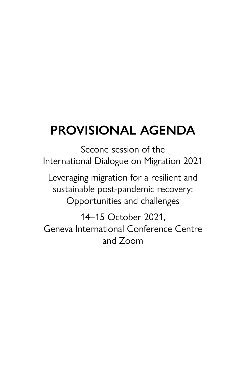## **PROVISIONAL AGENDA**

Second session of the International Dialogue on Migration 2021

Leveraging migration for a resilient and sustainable post-pandemic recovery: Opportunities and challenges

14–15 October 2021, Geneva International Conference Centre and Zoom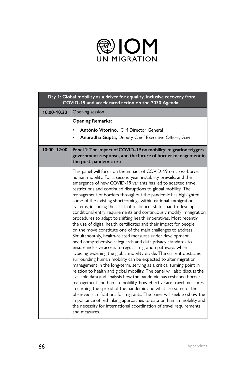

| Day 1: Global mobility as a driver for equality, inclusive recovery from<br>COVID-19 and accelerated action on the 2030 Agenda |                                                                                                                                                                                                                                                                                                                                                                                                                                                                                                                                                                                                                                                                                                                                                                                                                                                                                                                                                                                                                                                                                                                                                                                                                                                                                                                                                                                                                                                                                                                                                                                                                                                                                                      |
|--------------------------------------------------------------------------------------------------------------------------------|------------------------------------------------------------------------------------------------------------------------------------------------------------------------------------------------------------------------------------------------------------------------------------------------------------------------------------------------------------------------------------------------------------------------------------------------------------------------------------------------------------------------------------------------------------------------------------------------------------------------------------------------------------------------------------------------------------------------------------------------------------------------------------------------------------------------------------------------------------------------------------------------------------------------------------------------------------------------------------------------------------------------------------------------------------------------------------------------------------------------------------------------------------------------------------------------------------------------------------------------------------------------------------------------------------------------------------------------------------------------------------------------------------------------------------------------------------------------------------------------------------------------------------------------------------------------------------------------------------------------------------------------------------------------------------------------------|
| 10:00-10:30                                                                                                                    | Opening session                                                                                                                                                                                                                                                                                                                                                                                                                                                                                                                                                                                                                                                                                                                                                                                                                                                                                                                                                                                                                                                                                                                                                                                                                                                                                                                                                                                                                                                                                                                                                                                                                                                                                      |
|                                                                                                                                | <b>Opening Remarks:</b>                                                                                                                                                                                                                                                                                                                                                                                                                                                                                                                                                                                                                                                                                                                                                                                                                                                                                                                                                                                                                                                                                                                                                                                                                                                                                                                                                                                                                                                                                                                                                                                                                                                                              |
|                                                                                                                                | António Vitorino, IOM Director General                                                                                                                                                                                                                                                                                                                                                                                                                                                                                                                                                                                                                                                                                                                                                                                                                                                                                                                                                                                                                                                                                                                                                                                                                                                                                                                                                                                                                                                                                                                                                                                                                                                               |
|                                                                                                                                | Anuradha Gupta, Deputy Chief Executive Officer, Gavi<br>٠                                                                                                                                                                                                                                                                                                                                                                                                                                                                                                                                                                                                                                                                                                                                                                                                                                                                                                                                                                                                                                                                                                                                                                                                                                                                                                                                                                                                                                                                                                                                                                                                                                            |
| 10:00-12:00                                                                                                                    | Panel 1: The impact of COVID-19 on mobility: migration triggers,<br>government response, and the future of border management in<br>the post-pandemic era                                                                                                                                                                                                                                                                                                                                                                                                                                                                                                                                                                                                                                                                                                                                                                                                                                                                                                                                                                                                                                                                                                                                                                                                                                                                                                                                                                                                                                                                                                                                             |
|                                                                                                                                | This panel will focus on the impact of COVID-19 on cross-border<br>human mobility. For a second year, instability prevails, and the<br>emergence of new COVID-19 variants has led to adapted travel<br>restrictions and continued disruptions to global mobility. The<br>management of borders throughout the pandemic has highlighted<br>some of the existing shortcomings within national immigration<br>systems, including their lack of resilience. States had to develop<br>conditional entry requirements and continuously modify immigration<br>procedures to adapt to shifting health imperatives. Most recently,<br>the use of digital health certificates and their impact for people<br>on the move constitute one of the main challenges to address.<br>Simultaneously, health-related measures under development<br>need comprehensive safeguards and data privacy standards to<br>ensure inclusive access to regular migration pathways while<br>avoiding widening the global mobility divide. The current obstacles<br>surrounding human mobility can be expected to alter migration<br>management in the long-term, serving as a critical turning point in<br>relation to health and global mobility. The panel will also discuss the<br>available data and analysis how the pandemic has reshaped border<br>management and human mobility, how effective are travel measures<br>in curbing the spread of the pandemic and what are some of the<br>observed ramifications for migrants. The panel will seek to show the<br>importance of rethinking approaches to data on human mobility and<br>the necessity for international coordination of travel requirements<br>and measures. |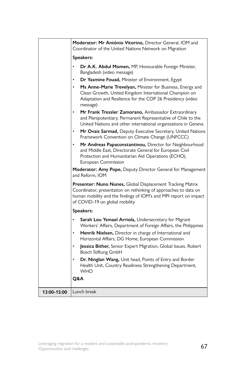|             | Moderator: Mr António Vitorino, Director General, IOM and<br>Coordinator of the United Nations Network on Migration                                                                                                                   |
|-------------|---------------------------------------------------------------------------------------------------------------------------------------------------------------------------------------------------------------------------------------|
|             | Speakers:                                                                                                                                                                                                                             |
|             | Dr A.K. Abdul Momen, MP, Honourable Foreign Minister,<br>Bangladesh (video message)                                                                                                                                                   |
|             | Dr Yasmine Fouad, Minister of Environment, Egypt                                                                                                                                                                                      |
|             | Ms Anne-Marie Trevelyan, Minister for Business, Energy and<br>Clean Growth, United Kingdom International Champion on<br>Adaptation and Resilience for the COP 26 Presidency (video<br>message)                                        |
|             | Mr Frank Tressler Zamorano, Ambassador Extraordinary<br>and Plenipotentiary, Permanent Representative of Chile to the<br>United Nations and other international organizations in Geneva                                               |
|             | Mr Ovais Sarmad, Deputy Executive Secretary, United Nations<br>Framework Convention on Climate Change (UNFCCC)                                                                                                                        |
|             | Mr Andreas Papaconstantinou, Director for Neighbourhood<br>and Middle East, Directorate General for European Civil<br>Protection and Humanitarian Aid Operations (ECHO),<br>European Commission                                       |
|             | Moderator: Amy Pope, Deputy Director General for Management<br>and Reform. IOM                                                                                                                                                        |
|             | Presenter: Nuno Nunes, Global Displacement Tracking Matrix<br>Coordinator, presentation on rethinking of approaches to data on<br>human mobility and the findings of IOM's and MPI report on impact<br>of COVID-19 on global mobility |
|             | Speakers:                                                                                                                                                                                                                             |
|             | Sarah Lou Ysmael Arriola, Undersecretary for Migrant<br>Workers' Affairs, Department of Foreign Affairs, the Philippines                                                                                                              |
|             | Henrik Nielsen, Director in charge of International and<br>Horizontal Affairs, DG Home, European Commission                                                                                                                           |
|             | Jessica Bither, Senior Expert Migration, Global Issues, Robert<br>Bosch Stiftung GmbH                                                                                                                                                 |
|             | Dr. Ninglan Wang, Unit head, Points of Entry and Border<br>Health Unit, Country Readiness Strengthening Department,<br><b>WHO</b>                                                                                                     |
|             | Q&A                                                                                                                                                                                                                                   |
| 13:00-15:00 | Lunch break                                                                                                                                                                                                                           |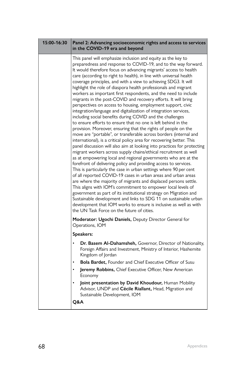| 15:00-16:30 | Panel 2: Advancing socioeconomic rights and access to services<br>in the COVID-19 era and beyond                                                                                                                                                                                                                                                                                                                                                                                                                                                                                                                                                                                                                                                                                                                                                                                                                                                                                                                                                                                                                                                                                                                                                                                                                                                                                                                                                                                                                                                                                                                                                                                                                                                                                                                                                                 |
|-------------|------------------------------------------------------------------------------------------------------------------------------------------------------------------------------------------------------------------------------------------------------------------------------------------------------------------------------------------------------------------------------------------------------------------------------------------------------------------------------------------------------------------------------------------------------------------------------------------------------------------------------------------------------------------------------------------------------------------------------------------------------------------------------------------------------------------------------------------------------------------------------------------------------------------------------------------------------------------------------------------------------------------------------------------------------------------------------------------------------------------------------------------------------------------------------------------------------------------------------------------------------------------------------------------------------------------------------------------------------------------------------------------------------------------------------------------------------------------------------------------------------------------------------------------------------------------------------------------------------------------------------------------------------------------------------------------------------------------------------------------------------------------------------------------------------------------------------------------------------------------|
|             | This panel will emphasize inclusion and equity as the key to<br>preparedness and response to COVID-19, and to the way forward.<br>It would therefore focus on advancing migrants' access to health<br>care (according to right to health), in line with universal health<br>coverage principles, and with a view to achieving SDG3. It will<br>highlight the role of diaspora health professionals and migrant<br>workers as important first respondents, and the need to include<br>migrants in the post-COVID and recovery efforts. It will bring<br>perspectives on access to housing, employment support, civic<br>integration/language and digitalization of integration services,<br>including social benefits during COVID and the challenges<br>to ensure efforts to ensure that no one is left behind in the<br>provision. Moreover, ensuring that the rights of people on the<br>move are "portable", or transferable across borders (internal and<br>international), is a critical policy area for recovering better. This<br>panel discussion will also aim at looking into practices for protecting<br>migrant workers across supply chains/ethical recruitment as well<br>as at empowering local and regional governments who are at the<br>forefront of delivering policy and providing access to services.<br>This is particularly the case in urban settings where 90 per cent<br>of all reported COVID-19 cases in urban areas and urban areas<br>are where the majority of migrants and displaced persons settle.<br>This aligns with IOM's commitment to empower local levels of<br>government as part of its institutional strategy on Migration and<br>Sustainable development and links to SDG 11 on sustainable urban<br>development that IOM works to ensure is inclusive as well as with<br>the UN Task Force on the future of cities. |
|             | Moderator: Ugochi Daniels, Deputy Director General for<br>Operations, IOM                                                                                                                                                                                                                                                                                                                                                                                                                                                                                                                                                                                                                                                                                                                                                                                                                                                                                                                                                                                                                                                                                                                                                                                                                                                                                                                                                                                                                                                                                                                                                                                                                                                                                                                                                                                        |
|             | Speakers:                                                                                                                                                                                                                                                                                                                                                                                                                                                                                                                                                                                                                                                                                                                                                                                                                                                                                                                                                                                                                                                                                                                                                                                                                                                                                                                                                                                                                                                                                                                                                                                                                                                                                                                                                                                                                                                        |
|             | Dr. Basem Al-Dahamsheh, Governor, Director of Nationality,<br>Foreign Affairs and Investment, Ministry of Interior, Hashemite<br>Kingdom of Jordan                                                                                                                                                                                                                                                                                                                                                                                                                                                                                                                                                                                                                                                                                                                                                                                                                                                                                                                                                                                                                                                                                                                                                                                                                                                                                                                                                                                                                                                                                                                                                                                                                                                                                                               |
|             | <b>Bola Bardet, Founder and Chief Executive Officer of Susu</b>                                                                                                                                                                                                                                                                                                                                                                                                                                                                                                                                                                                                                                                                                                                                                                                                                                                                                                                                                                                                                                                                                                                                                                                                                                                                                                                                                                                                                                                                                                                                                                                                                                                                                                                                                                                                  |
|             | Jeremy Robbins, Chief Executive Officer, New American<br>Economy                                                                                                                                                                                                                                                                                                                                                                                                                                                                                                                                                                                                                                                                                                                                                                                                                                                                                                                                                                                                                                                                                                                                                                                                                                                                                                                                                                                                                                                                                                                                                                                                                                                                                                                                                                                                 |
|             | Joint presentation by David Khoudour, Human Mobility<br>Advisor, UNDP and Cécile Riallant, Head, Migration and<br>Sustainable Development, IOM<br><b>Q&amp;A</b>                                                                                                                                                                                                                                                                                                                                                                                                                                                                                                                                                                                                                                                                                                                                                                                                                                                                                                                                                                                                                                                                                                                                                                                                                                                                                                                                                                                                                                                                                                                                                                                                                                                                                                 |
|             |                                                                                                                                                                                                                                                                                                                                                                                                                                                                                                                                                                                                                                                                                                                                                                                                                                                                                                                                                                                                                                                                                                                                                                                                                                                                                                                                                                                                                                                                                                                                                                                                                                                                                                                                                                                                                                                                  |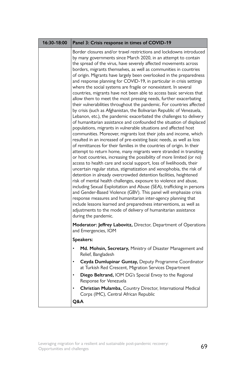| 16:30-18:00 | Panel 3: Crisis response in times of COVID-19                                                                                                                                                                                                                                                                                                                                                                                                                                                                                                                                                                                                                                                                                                                                                                                                                                                                                                                                                                                                                                                                                                                                                                                                                                                                                                                                                                                                                                                                                                                                                                                                                                                                                                                                                                                                                                                                                                                                                                                                                     |
|-------------|-------------------------------------------------------------------------------------------------------------------------------------------------------------------------------------------------------------------------------------------------------------------------------------------------------------------------------------------------------------------------------------------------------------------------------------------------------------------------------------------------------------------------------------------------------------------------------------------------------------------------------------------------------------------------------------------------------------------------------------------------------------------------------------------------------------------------------------------------------------------------------------------------------------------------------------------------------------------------------------------------------------------------------------------------------------------------------------------------------------------------------------------------------------------------------------------------------------------------------------------------------------------------------------------------------------------------------------------------------------------------------------------------------------------------------------------------------------------------------------------------------------------------------------------------------------------------------------------------------------------------------------------------------------------------------------------------------------------------------------------------------------------------------------------------------------------------------------------------------------------------------------------------------------------------------------------------------------------------------------------------------------------------------------------------------------------|
|             | Border closures and/or travel restrictions and lockdowns introduced<br>by many governments since March 2020, in an attempt to contain<br>the spread of the virus, have severely affected movements across<br>borders, migrants themselves, as well as communities in countries<br>of origin. Migrants have largely been overlooked in the preparedness<br>and response planning for COVID-19, in particular in crisis settings<br>where the social systems are fragile or nonexistent. In several<br>countries, migrants have not been able to access basic services that<br>allow them to meet the most pressing needs, further exacerbating<br>their vulnerabilities throughout the pandemic. For countries affected<br>by crisis (such as Afghanistan, the Bolivarian Republic of Venezuela,<br>Lebanon, etc.), the pandemic exacerbated the challenges to delivery<br>of humanitarian assistance and confounded the situation of displaced<br>populations, migrants in vulnerable situations and affected host<br>communities. Moreover, migrants lost their jobs and income, which<br>resulted in an increased of pre-existing basic needs, as well as loss<br>of remittances for their families in the countries of origin. In their<br>attempt to return home, many migrants were stranded in transiting<br>or host countries, increasing the possibility of more limited (or no)<br>access to health care and social support, loss of livelihoods, their<br>uncertain regular status, stigmatization and xenophobia, the risk of<br>detention in already overcrowded detention facilities, heightened<br>risk of mental health challenges, exposure to violence and abuse,<br>including Sexual Exploitation and Abuse (SEA), trafficking in persons<br>and Gender-Based Violence (GBV). This panel will emphasize crisis<br>response measures and humanitarian inter-agency planning that<br>include lessons learned and preparedness interventions, as well as<br>adjustments to the mode of delivery of humanitarian assistance<br>during the pandemic. |
|             | Moderator: Jeffrey Labovitz, Director, Department of Operations<br>and Emergencies, IOM                                                                                                                                                                                                                                                                                                                                                                                                                                                                                                                                                                                                                                                                                                                                                                                                                                                                                                                                                                                                                                                                                                                                                                                                                                                                                                                                                                                                                                                                                                                                                                                                                                                                                                                                                                                                                                                                                                                                                                           |
|             | Speakers:                                                                                                                                                                                                                                                                                                                                                                                                                                                                                                                                                                                                                                                                                                                                                                                                                                                                                                                                                                                                                                                                                                                                                                                                                                                                                                                                                                                                                                                                                                                                                                                                                                                                                                                                                                                                                                                                                                                                                                                                                                                         |
|             | Md. Mohsin, Secretary, Ministry of Disaster Management and<br>Relief, Bangladesh                                                                                                                                                                                                                                                                                                                                                                                                                                                                                                                                                                                                                                                                                                                                                                                                                                                                                                                                                                                                                                                                                                                                                                                                                                                                                                                                                                                                                                                                                                                                                                                                                                                                                                                                                                                                                                                                                                                                                                                  |
|             | Ceyda Dumlupinar Guntay, Deputy Programme Coordinator<br>$\bullet$<br>at Turkish Red Crescent, Migration Services Department                                                                                                                                                                                                                                                                                                                                                                                                                                                                                                                                                                                                                                                                                                                                                                                                                                                                                                                                                                                                                                                                                                                                                                                                                                                                                                                                                                                                                                                                                                                                                                                                                                                                                                                                                                                                                                                                                                                                      |
|             | Diego Beltrand, IOM DG's Special Envoy to the Regional<br>Response for Venezuela                                                                                                                                                                                                                                                                                                                                                                                                                                                                                                                                                                                                                                                                                                                                                                                                                                                                                                                                                                                                                                                                                                                                                                                                                                                                                                                                                                                                                                                                                                                                                                                                                                                                                                                                                                                                                                                                                                                                                                                  |
|             | Christian Mulamba, Country Director, International Medical<br>Corps (IMC), Central African Republic                                                                                                                                                                                                                                                                                                                                                                                                                                                                                                                                                                                                                                                                                                                                                                                                                                                                                                                                                                                                                                                                                                                                                                                                                                                                                                                                                                                                                                                                                                                                                                                                                                                                                                                                                                                                                                                                                                                                                               |
|             | Q&A                                                                                                                                                                                                                                                                                                                                                                                                                                                                                                                                                                                                                                                                                                                                                                                                                                                                                                                                                                                                                                                                                                                                                                                                                                                                                                                                                                                                                                                                                                                                                                                                                                                                                                                                                                                                                                                                                                                                                                                                                                                               |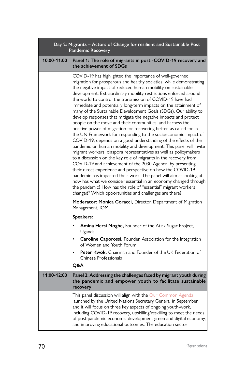| Day 2: Migrants - Actors of Change for resilient and Sustainable Post<br><b>Pandemic Recovery</b> |                                                                                                                                                                                                                                                                                                                                                                                                                                                                                                                                                                                                                                                                                                                                                                                                                                                                                                                                                                                                                                                                                                                                                                                                                                                                                                                                                                                                                                         |
|---------------------------------------------------------------------------------------------------|-----------------------------------------------------------------------------------------------------------------------------------------------------------------------------------------------------------------------------------------------------------------------------------------------------------------------------------------------------------------------------------------------------------------------------------------------------------------------------------------------------------------------------------------------------------------------------------------------------------------------------------------------------------------------------------------------------------------------------------------------------------------------------------------------------------------------------------------------------------------------------------------------------------------------------------------------------------------------------------------------------------------------------------------------------------------------------------------------------------------------------------------------------------------------------------------------------------------------------------------------------------------------------------------------------------------------------------------------------------------------------------------------------------------------------------------|
| 10:00-11:00                                                                                       | Panel 1: The role of migrants in post -COVID-19 recovery and<br>the achievement of SDGs                                                                                                                                                                                                                                                                                                                                                                                                                                                                                                                                                                                                                                                                                                                                                                                                                                                                                                                                                                                                                                                                                                                                                                                                                                                                                                                                                 |
|                                                                                                   | COVID-19 has highlighted the importance of well-governed<br>migration for prosperous and healthy societies, while demonstrating<br>the negative impact of reduced human mobility on sustainable<br>development. Extraordinary mobility restrictions enforced around<br>the world to control the transmission of COVID-19 have had<br>immediate and potentially long-term impacts on the attainment of<br>many of the Sustainable Development Goals (SDGs). Our ability to<br>develop responses that mitigate the negative impacts and protect<br>people on the move and their communities, and harness the<br>positive power of migration for recovering better, as called for in<br>the UN Framework for responding to the socioeconomic impact of<br>COVID-19, depends on a good understanding of the effects of the<br>pandemic on human mobility and development. This panel will invite<br>migrant workers, diaspora representatives as well as policymakers<br>to a discussion on the key role of migrants in the recovery from<br>COVID-19 and achievement of the 2030 Agenda. by presenting<br>their direct experience and perspective on how the COVID-19<br>pandemic has impacted their work. The panel will aim at looking at<br>how has what we consider essential in an economy changed through<br>the pandemic? How has the role of "essential" migrant workers<br>changed? Which opportunities and challenges are there? |
|                                                                                                   | Moderator: Monica Goracci, Director, Department of Migration<br>Management, IOM                                                                                                                                                                                                                                                                                                                                                                                                                                                                                                                                                                                                                                                                                                                                                                                                                                                                                                                                                                                                                                                                                                                                                                                                                                                                                                                                                         |
|                                                                                                   | Speakers:                                                                                                                                                                                                                                                                                                                                                                                                                                                                                                                                                                                                                                                                                                                                                                                                                                                                                                                                                                                                                                                                                                                                                                                                                                                                                                                                                                                                                               |
|                                                                                                   | Amina Hersi Moghe, Founder of the Atiak Sugar Project,<br>Uganda                                                                                                                                                                                                                                                                                                                                                                                                                                                                                                                                                                                                                                                                                                                                                                                                                                                                                                                                                                                                                                                                                                                                                                                                                                                                                                                                                                        |
|                                                                                                   | Caroline Caporossi, Founder, Association for the Integration<br>of Women and Youth Forum                                                                                                                                                                                                                                                                                                                                                                                                                                                                                                                                                                                                                                                                                                                                                                                                                                                                                                                                                                                                                                                                                                                                                                                                                                                                                                                                                |
|                                                                                                   | Peter Kwok, Chairman and Founder of the UK Federation of<br>Chinese Professionals                                                                                                                                                                                                                                                                                                                                                                                                                                                                                                                                                                                                                                                                                                                                                                                                                                                                                                                                                                                                                                                                                                                                                                                                                                                                                                                                                       |
|                                                                                                   | Q&A                                                                                                                                                                                                                                                                                                                                                                                                                                                                                                                                                                                                                                                                                                                                                                                                                                                                                                                                                                                                                                                                                                                                                                                                                                                                                                                                                                                                                                     |
| 11:00-12:00                                                                                       | Panel 2: Addressing the challenges faced by migrant youth during<br>the pandemic and empower youth to facilitate sustainable<br>recovery                                                                                                                                                                                                                                                                                                                                                                                                                                                                                                                                                                                                                                                                                                                                                                                                                                                                                                                                                                                                                                                                                                                                                                                                                                                                                                |
|                                                                                                   | This panel discussion will align with the Our Common Agenda<br>launched by the United Nations Secretary General in September<br>and it will focus on three key aspects of ongoing youth-work,<br>including COVID-19 recovery, upskilling/reskilling to meet the needs<br>of post-pandemic economic development green and digital economy,<br>and improving educational outcomes. The education sector                                                                                                                                                                                                                                                                                                                                                                                                                                                                                                                                                                                                                                                                                                                                                                                                                                                                                                                                                                                                                                   |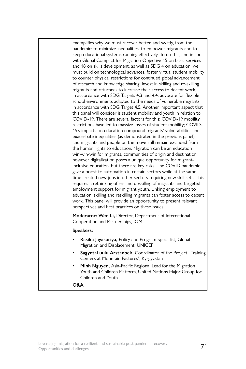| exemplifies why we must recover better, and swiftly, from the<br>pandemic: to minimize inequalities, to empower migrants and to<br>keep educational systems running effectively. To do this, and in line<br>with Global Compact for Migration Objective 15 on basic services<br>and 18 on skills development, as well as SDG 4 on education, we<br>must build on technological advances, foster virtual student mobility<br>to counter physical restrictions for continued global advancement<br>of research and knowledge sharing, invest in skilling and re-skilling<br>migrants and returnees to increase their access to decent work,<br>in accordance with SDG Targets 4.3 and 4.4, advocate for flexible<br>school environments adapted to the needs of vulnerable migrants,<br>in accordance with SDG Target 4.5. Another important aspect that<br>this panel will consider is student mobility and youth in relation to<br>COVID-19. There are several factors for this: COVID-19 mobility<br>restrictions have led to massive losses of student mobility; COVID-<br>19's impacts on education compound migrants' vulnerabilities and<br>exacerbate inequalities (as demonstrated in the previous panel),<br>and migrants and people on the move still remain excluded from<br>the human rights to education. Migration can be an education<br>win-win-win for migrants, communities of origin and destination,<br>however digitalization poses a unique opportunity for migrant-<br>inclusive education, but there are key risks. The COVID pandemic<br>gave a boost to automation in certain sectors while at the same<br>time created new jobs in other sectors requiring new skill sets. This<br>requires a rethinking of re- and upskilling of migrants and targeted<br>employment support for migrant youth. Linking employment to<br>education, skilling and reskilling migrants can foster access to decent<br>work. This panel will provide an opportunity to present relevant<br>perspectives and best practices on these issues. |
|-----------------------------------------------------------------------------------------------------------------------------------------------------------------------------------------------------------------------------------------------------------------------------------------------------------------------------------------------------------------------------------------------------------------------------------------------------------------------------------------------------------------------------------------------------------------------------------------------------------------------------------------------------------------------------------------------------------------------------------------------------------------------------------------------------------------------------------------------------------------------------------------------------------------------------------------------------------------------------------------------------------------------------------------------------------------------------------------------------------------------------------------------------------------------------------------------------------------------------------------------------------------------------------------------------------------------------------------------------------------------------------------------------------------------------------------------------------------------------------------------------------------------------------------------------------------------------------------------------------------------------------------------------------------------------------------------------------------------------------------------------------------------------------------------------------------------------------------------------------------------------------------------------------------------------------------------------------------------------------------------------------------------------------------------------|
| <b>Moderator: Wen Li, Director, Department of International</b><br>Cooperation and Partnerships, IOM                                                                                                                                                                                                                                                                                                                                                                                                                                                                                                                                                                                                                                                                                                                                                                                                                                                                                                                                                                                                                                                                                                                                                                                                                                                                                                                                                                                                                                                                                                                                                                                                                                                                                                                                                                                                                                                                                                                                                |
| Speakers:                                                                                                                                                                                                                                                                                                                                                                                                                                                                                                                                                                                                                                                                                                                                                                                                                                                                                                                                                                                                                                                                                                                                                                                                                                                                                                                                                                                                                                                                                                                                                                                                                                                                                                                                                                                                                                                                                                                                                                                                                                           |
| Rasika Jayasuriya, Policy and Program Specialist, Global<br>Migration and Displacement, UNICEF                                                                                                                                                                                                                                                                                                                                                                                                                                                                                                                                                                                                                                                                                                                                                                                                                                                                                                                                                                                                                                                                                                                                                                                                                                                                                                                                                                                                                                                                                                                                                                                                                                                                                                                                                                                                                                                                                                                                                      |
| Sagyntai uulu Arstanbek, Coordinator of the Project "Training<br>Centers at Mountain Pastures", Kyrgyzstan                                                                                                                                                                                                                                                                                                                                                                                                                                                                                                                                                                                                                                                                                                                                                                                                                                                                                                                                                                                                                                                                                                                                                                                                                                                                                                                                                                                                                                                                                                                                                                                                                                                                                                                                                                                                                                                                                                                                          |
| Minh Nguyen, Asia-Pacific Regional Lead for the Migration<br>Youth and Children Platform, United Nations Major Group for<br>Children and Youth                                                                                                                                                                                                                                                                                                                                                                                                                                                                                                                                                                                                                                                                                                                                                                                                                                                                                                                                                                                                                                                                                                                                                                                                                                                                                                                                                                                                                                                                                                                                                                                                                                                                                                                                                                                                                                                                                                      |
| Q&A                                                                                                                                                                                                                                                                                                                                                                                                                                                                                                                                                                                                                                                                                                                                                                                                                                                                                                                                                                                                                                                                                                                                                                                                                                                                                                                                                                                                                                                                                                                                                                                                                                                                                                                                                                                                                                                                                                                                                                                                                                                 |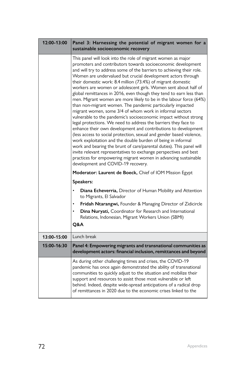| 12:00-13:00 | Panel 3: Harnessing the potential of migrant women for a<br>sustainable socioeconomic recovery                                                                                                                                                                                                                                                                                                                                                                                                                                                                                                                                                                                                                                                                                                                                                                                                                                                                                                                                                                                                                                                                                                                                                                                         |
|-------------|----------------------------------------------------------------------------------------------------------------------------------------------------------------------------------------------------------------------------------------------------------------------------------------------------------------------------------------------------------------------------------------------------------------------------------------------------------------------------------------------------------------------------------------------------------------------------------------------------------------------------------------------------------------------------------------------------------------------------------------------------------------------------------------------------------------------------------------------------------------------------------------------------------------------------------------------------------------------------------------------------------------------------------------------------------------------------------------------------------------------------------------------------------------------------------------------------------------------------------------------------------------------------------------|
|             | This panel will look into the role of migrant women as major<br>promoters and contributors towards socioeconomic development<br>and will try to address some of the barriers to achieving their role.<br>Women are undervalued but crucial development actors through<br>their domestic work: 8.4 million (73.4%) of migrant domestic<br>workers are women or adolescent girls. Women sent about half of<br>global remittances in 2016, even though they tend to earn less than<br>men. Migrant women are more likely to be in the labour force (64%)<br>than non-migrant women. The pandemic particularly impacted<br>migrant women, some 3/4 of whom work in informal sectors<br>vulnerable to the pandemic's socioeconomic impact without strong<br>legal protections. We need to address the barriers they face to<br>enhance their own development and contributions to development<br>(less access to social protection, sexual and gender based violence,<br>work exploitation and the double burden of being in informal<br>work and bearing the brunt of care/parental duties). This panel will<br>invite relevant representatives to exchange perspectives and best<br>practices for empowering migrant women in advancing sustainable<br>development and COVID-19 recovery. |
|             | Moderator: Laurent de Boeck, Chief of IOM Mission Egypt                                                                                                                                                                                                                                                                                                                                                                                                                                                                                                                                                                                                                                                                                                                                                                                                                                                                                                                                                                                                                                                                                                                                                                                                                                |
|             | Speakers:                                                                                                                                                                                                                                                                                                                                                                                                                                                                                                                                                                                                                                                                                                                                                                                                                                                                                                                                                                                                                                                                                                                                                                                                                                                                              |
|             | Diana Echeverria, Director of Human Mobility and Attention<br>to Migrants, El Salvador                                                                                                                                                                                                                                                                                                                                                                                                                                                                                                                                                                                                                                                                                                                                                                                                                                                                                                                                                                                                                                                                                                                                                                                                 |
|             | Fridah Ntarangwi, Founder & Managing Director of Zidicircle<br>$\bullet$                                                                                                                                                                                                                                                                                                                                                                                                                                                                                                                                                                                                                                                                                                                                                                                                                                                                                                                                                                                                                                                                                                                                                                                                               |
|             | Dina Nuryati, Coordinator for Research and International<br>Relations, Indonesian, Migrant Workers Union (SBMI)<br>Q&A                                                                                                                                                                                                                                                                                                                                                                                                                                                                                                                                                                                                                                                                                                                                                                                                                                                                                                                                                                                                                                                                                                                                                                 |
| 13:00-15:00 | Lunch break                                                                                                                                                                                                                                                                                                                                                                                                                                                                                                                                                                                                                                                                                                                                                                                                                                                                                                                                                                                                                                                                                                                                                                                                                                                                            |
| 15:00-16:30 | Panel 4: Empowering migrants and transnational communities as<br>development actors: financial inclusion, remittances and beyond                                                                                                                                                                                                                                                                                                                                                                                                                                                                                                                                                                                                                                                                                                                                                                                                                                                                                                                                                                                                                                                                                                                                                       |
|             | As during other challenging times and crises, the COVID-19<br>pandemic has once again demonstrated the ability of transnational<br>communities to quickly adjust to the situation and mobilize their<br>support and resources to assist those most vulnerable or left<br>behind. Indeed, despite wide-spread anticipations of a radical drop<br>of remittances in 2020 due to the economic crises linked to the                                                                                                                                                                                                                                                                                                                                                                                                                                                                                                                                                                                                                                                                                                                                                                                                                                                                        |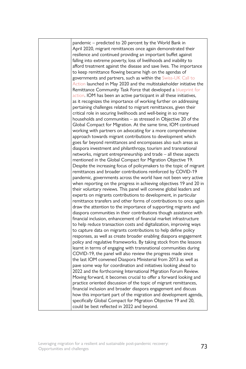pandemic – predicted to 20 percent by the World Bank in April 2020, migrant remittances once again demonstrated their resilience and continued providing an important buffet against falling into extreme poverty, loss of livelihoods and inability to afford treatment against the disease and save lives. The importance to keep remittance flowing became high on the agendas of governments and partners, such as within the [Swiss-UK Call to](https://www.knomad.org/covid-19-remittances-call-to-action/)  [Action](https://www.knomad.org/covid-19-remittances-call-to-action/) launched in May 2020 and the multistakeholder initiative the Remittance Community Task Force that developed a [blueprint for](https://gfrid.org/covid-19/the-remittance-community-task-force/)  [action.](https://gfrid.org/covid-19/the-remittance-community-task-force/) IOM has been an active participant in all these initiatives, as it recognizes the importance of working further on addressing pertaining challenges related to migrant remittances, given their critical role in securing livelihoods and well-being in so many households and communities – as stressed in Objective 20 of the Global Compact for Migration. At the same time, IOM continued working with partners on advocating for a more comprehensive approach towards migrant contributions to development which goes far beyond remittances and encompasses also such areas as diaspora investment and philanthropy, tourism and transnational networks, migrant entrepreneurship and trade – all these aspects mentioned in the Global Compact for Migration Objective 19. Despite the increasing focus of policymakers to the topic of migrant remittances and broader contributions reinforced by COVID-19 pandemic, governments across the world have not been very active when reporting on the progress in achieving objectives 19 and 20 in their voluntary reviews. This panel will convene global leaders and experts on migrants contributions to development, in particular remittance transfers and other forms of contributions to once again draw the attention to the importance of supporting migrants and diaspora communities in their contributions though assistance with financial inclusion, enhancement of financial market infrastructure to help reduce transaction costs and digitalization, improving ways to capture data on migrants contributions to help define policy responses, as well as create broader enabling diaspora engagement policy and regulative frameworks. By taking stock from the lessons learnt in terms of engaging with transnational communities during COVID-19, the panel will also review the progress made since the last IOM convened Diaspora Ministerial from 2013 as well as pave some way for coordination and initiatives looking ahead to 2022 and the forthcoming International Migration Forum Review. Moving forward, it becomes crucial to offer a forward looking and practice oriented discussion of the topic of migrant remittances, financial inclusion and broader diaspora engagement and discuss how this important part of the migration and development agenda, specifically Global Compact for Migration Objective 19 and 20, could be best reflected in 2022 and beyond.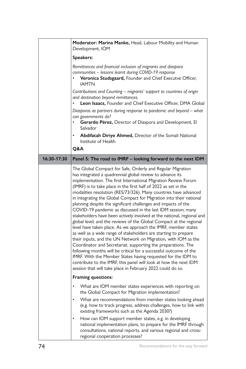|             | Moderator: Marina Manke, Head, Labour Mobility and Human<br>Development, IOM                                                                                                                                                                                                                                                                                                                                                                                                                                                                                                                                                                                                                                                                                                                                                                                                                                                                                                                                                                                                                                                                                                                                                              |
|-------------|-------------------------------------------------------------------------------------------------------------------------------------------------------------------------------------------------------------------------------------------------------------------------------------------------------------------------------------------------------------------------------------------------------------------------------------------------------------------------------------------------------------------------------------------------------------------------------------------------------------------------------------------------------------------------------------------------------------------------------------------------------------------------------------------------------------------------------------------------------------------------------------------------------------------------------------------------------------------------------------------------------------------------------------------------------------------------------------------------------------------------------------------------------------------------------------------------------------------------------------------|
|             | Speakers:                                                                                                                                                                                                                                                                                                                                                                                                                                                                                                                                                                                                                                                                                                                                                                                                                                                                                                                                                                                                                                                                                                                                                                                                                                 |
|             | Remittances and financial inclusion of migrants and diaspora<br>communities - lessons learnt during COVID-19 response<br>Veronica Studsgaard, Founder and Chief Executve Officer,<br><b>IAMTN</b>                                                                                                                                                                                                                                                                                                                                                                                                                                                                                                                                                                                                                                                                                                                                                                                                                                                                                                                                                                                                                                         |
|             | Contributions and Counting - migrants' support to countries of origin<br>and destination beyond remittances.<br>Leon Isaacs, Founder and Chief Executive Officer, DMA Global                                                                                                                                                                                                                                                                                                                                                                                                                                                                                                                                                                                                                                                                                                                                                                                                                                                                                                                                                                                                                                                              |
|             | Diasporas as partners during response to pandemic and beyond - what<br>can governments do?<br>$\bullet$<br>Gerardo Pérez, Director of Diaspora and Development, El<br>Salvador                                                                                                                                                                                                                                                                                                                                                                                                                                                                                                                                                                                                                                                                                                                                                                                                                                                                                                                                                                                                                                                            |
|             | Abdifatah Diriye Ahmed, Director of the Somali National<br>٠<br>Institute of Health                                                                                                                                                                                                                                                                                                                                                                                                                                                                                                                                                                                                                                                                                                                                                                                                                                                                                                                                                                                                                                                                                                                                                       |
|             | Q&A                                                                                                                                                                                                                                                                                                                                                                                                                                                                                                                                                                                                                                                                                                                                                                                                                                                                                                                                                                                                                                                                                                                                                                                                                                       |
| 16:30-17:30 | Panel 5: The road to IMRF - looking forward to the next IDM                                                                                                                                                                                                                                                                                                                                                                                                                                                                                                                                                                                                                                                                                                                                                                                                                                                                                                                                                                                                                                                                                                                                                                               |
|             | The Global Compact for Safe, Orderly and Regular Migration<br>has integrated a quadrennial global review to advance its<br>implementation. The first International Migration Review Forum<br>(IMRF) is to take place in the first half of 2022 as set in the<br>modalities resolution (RES/73/326). Many countries have advanced<br>in integrating the Global Compact for Migration into their national<br>planning despite the significant challenges and impacts of the<br>COVID-19 pandemic as discussed in the last IDM session; many<br>stakeholders have been actively involved at the national, regional and<br>global level; and the reviews of the Global Compact at the regional<br>level have taken place. As we approach the IMRF, member states<br>as well as a wide range of stakeholders are starting to prepare<br>their inputs, and the UN Network on Migration, with IOM as the<br>Coordinator and Secretariat, supporting the preparations. The<br>following months will be critical for a successful outcome of the<br>IMRF. With the Member States having requested for the IDM to<br>contribute to the IMRF, this panel will look at how the next IDM<br>session that will take place in February 2022 could do so. |
|             | Framing questions:                                                                                                                                                                                                                                                                                                                                                                                                                                                                                                                                                                                                                                                                                                                                                                                                                                                                                                                                                                                                                                                                                                                                                                                                                        |
|             | What are IOM member states experiences with reporting on<br>the Global Compact for Migration implementation?                                                                                                                                                                                                                                                                                                                                                                                                                                                                                                                                                                                                                                                                                                                                                                                                                                                                                                                                                                                                                                                                                                                              |
|             | What are recommendations from member states looking ahead<br>(e.g. how to track progress, address challenges, how to link with<br>existing frameworks such as the Agenda 2030?)                                                                                                                                                                                                                                                                                                                                                                                                                                                                                                                                                                                                                                                                                                                                                                                                                                                                                                                                                                                                                                                           |
|             | How can IOM support member states, e.g. in developing<br>national implementation plans, to prepare for the IMRF through<br>consultations, national reports, and various regional and cross-<br>regional cooperation processes?                                                                                                                                                                                                                                                                                                                                                                                                                                                                                                                                                                                                                                                                                                                                                                                                                                                                                                                                                                                                            |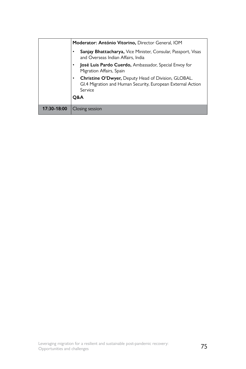|             | Moderator: António Vitorino, Director General, IOM                                                                                               |
|-------------|--------------------------------------------------------------------------------------------------------------------------------------------------|
|             | Sanjay Bhattacharya, Vice Minister, Consular, Passport, Visas<br>and Overseas Indian Affairs, India                                              |
|             | José Luis Pardo Cuerdo, Ambassador, Special Envoy for<br>٠<br>Migration Affairs, Spain                                                           |
|             | <b>Christine O'Dwyer, Deputy Head of Division, GLOBAL.</b><br>٠<br>GI.4 Migration and Human Security, European External Action<br>Service<br>O&A |
| 17:30-18:00 | Closing session                                                                                                                                  |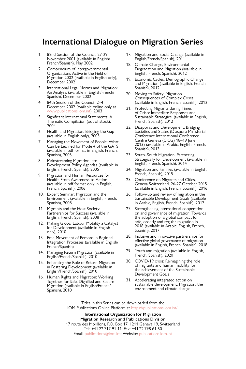## **International Dialogue on Migration Series**

- 1. 82nd Session of the Council; 27-29 November 2001 (available in English/ French/Spanish), May 2002
- 2. Compendium of Intergovernmental Organizations Active in the Field of Migration 2002 (available in English only), December 2002
- 3. International Legal Norms and Migration: An Analysis (available in English/French/ Spanish), December 2002
- 4. 84th Session of the Council; 2–4 December 2002 (available online only at [www.publications.iom.int](http://www.publications.iom.int)), 2003
- 5. Significant International Statements: A Thematic Compilation (out of stock), 2004
- 6. Health and Migration: Bridging the Gap (available in English only), 2005
- 7. Managing the Movement of People: What Can Be Learned for Mode 4 of the GATS (available in pdf format in English, French, Spanish), 2005
- 8. Mainstreaming Migration into Development Policy Agendas (available in English, French, Spanish), 2005
- 9. Migration and Human Resources for Health: From Awareness to Action (available in pdf format only in English, French, Spanish), 2006
- 10. Expert Seminar: Migration and the Environment (available in English, French, Spanish), 2008
- 11. Migrants and the Host Society: Partnerships for Success (available in English, French, Spanish), 2008
- 12. Making Global Labour Mobility a Catalyst for Development (available in English only), 2010
- 13. Free Movement of Persons in Regional Integration Processes (available in English/ French/Spanish)
- 14. Managing Return Migration (available in English/French/Spanish), 2010
- 15. Enhancing the Role of Return Migration in Fostering Development (available in English/French/Spanish), 2010
- 16. Human Rights and Migration: Working Together for Safe, Dignified and Secure Migration (available in English/French/ Spanish), 2010
- 17. Migration and Social Change (available in English/French/Spanish), 2011
- 18. Climate Change, Environmental Degradation and Migration (available in English, French, Spanish), 2012
- 19. Economic Cycles, Demographic Change and Migration (available in English, French, Spanish), 2012
- 20. Moving to Safety: Migration Consequences of Complex Crises, (available in English, French, Spanish), 2012
- 21. Protecting Migrants during Times of Crisis: Immediate Responses and Sustainable Strategies, (available in English, French, Spanish), 2012
- 22. Diasporas and Development: Bridging Societies and States (Diaspora Ministerial Conference International Conference Centre Geneva (CICG) 18–19 June 2013) (available in Arabic, English, French, Spanish), 2013
- 23. South–South Migration: Partnering Strategically for Development (available in English, French, Spanish), 2014
- 24. Migration and Families (available in English, French, Spanish), 2015
- 25. Conference on Migrants and Cities, Geneva Switzerland, 26-27 October 2015 (available in English, French, Spanish), 2016
- 26. Follow-up and review of migration in the Sustainable Development Goals (available in Arabic, English, French, Spanish), 2017
- 27. Strengthening international cooperation on and governance of migration: Towards the adoption of a global compact for safe, orderly and regular migration in 2018 (available in Arabic, English, French, Spanish), 2017
- 28. Inclusive and innovative partnerships for effective global governance of migration (available in English, French, Spanish), 2018
- 29. Youth and migration (available in English, French, Spanish), 2020
- 30. COVID-19 crisis: Reimagining the role of migrants and human mobility for the achievement of the Sustainable Development Goals
- 31. Accelerating integrated action on sustainable development: Migration, the environment and climate change

Titles in this Series can be downloaded from the IOM Publications Online Platform at [https://publications.iom.int/.](http://publications.iom.int/)

**International Organization for Migration Migration Research and Publications Division** 17 route des Morillons, P.O. Box 17, 1211 Geneva 19, Switzerland Tel.: +41.22.717 91 11; Fax: +41.22.798 61 50 Email: [publications@iom.int;](mailto:publications%40iom.int?subject=) Website: [publications.iom.int](http://publications.iom.int)